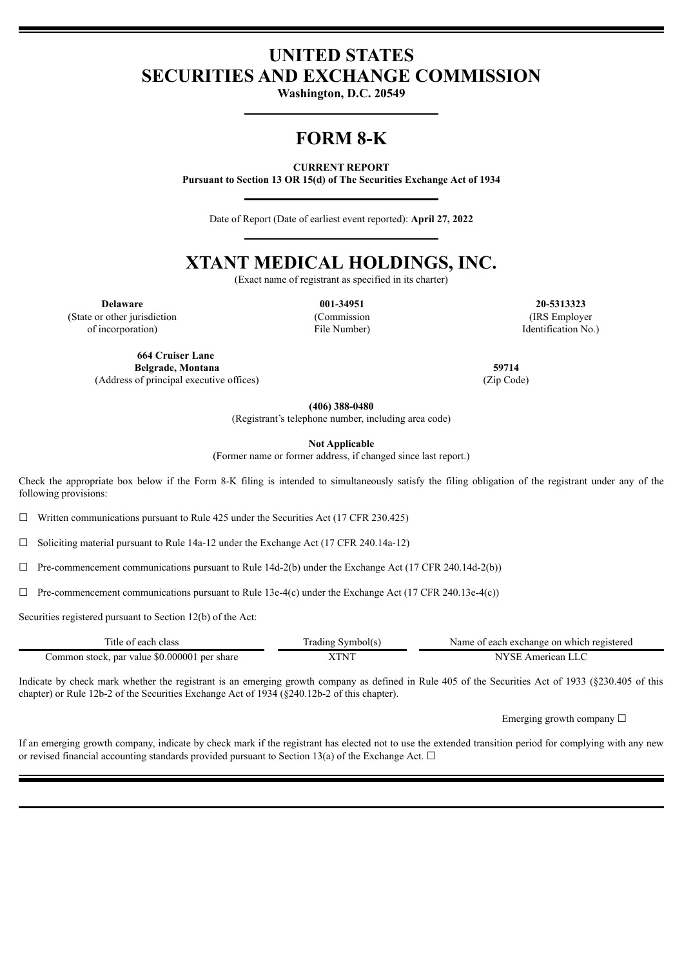# **UNITED STATES SECURITIES AND EXCHANGE COMMISSION**

**Washington, D.C. 20549**

# **FORM 8-K**

**CURRENT REPORT**

**Pursuant to Section 13 OR 15(d) of The Securities Exchange Act of 1934**

Date of Report (Date of earliest event reported): **April 27, 2022**

# **XTANT MEDICAL HOLDINGS, INC.**

(Exact name of registrant as specified in its charter)

(State or other jurisdiction of incorporation)

(Commission File Number)

**Delaware 001-34951 20-5313323** (IRS Employer Identification No.)

**664 Cruiser Lane Belgrade, Montana 59714**

(Address of principal executive offices) (Zip Code)

**(406) 388-0480**

(Registrant's telephone number, including area code)

**Not Applicable**

(Former name or former address, if changed since last report.)

Check the appropriate box below if the Form 8-K filing is intended to simultaneously satisfy the filing obligation of the registrant under any of the following provisions:

 $\Box$  Written communications pursuant to Rule 425 under the Securities Act (17 CFR 230.425)

 $\Box$  Soliciting material pursuant to Rule 14a-12 under the Exchange Act (17 CFR 240.14a-12)

 $\Box$  Pre-commencement communications pursuant to Rule 14d-2(b) under the Exchange Act (17 CFR 240.14d-2(b))

 $\Box$  Pre-commencement communications pursuant to Rule 13e-4(c) under the Exchange Act (17 CFR 240.13e-4(c))

Securities registered pursuant to Section 12(b) of the Act:

| Title of each class                          | Trading Symbol(s) | Name of each exchange on which registered |
|----------------------------------------------|-------------------|-------------------------------------------|
| Common stock, par value \$0.000001 per share | XTNT              | NYSE American LLC                         |

Indicate by check mark whether the registrant is an emerging growth company as defined in Rule 405 of the Securities Act of 1933 (§230.405 of this chapter) or Rule 12b-2 of the Securities Exchange Act of 1934 (§240.12b-2 of this chapter).

Emerging growth company  $\Box$ 

If an emerging growth company, indicate by check mark if the registrant has elected not to use the extended transition period for complying with any new or revised financial accounting standards provided pursuant to Section 13(a) of the Exchange Act.  $\Box$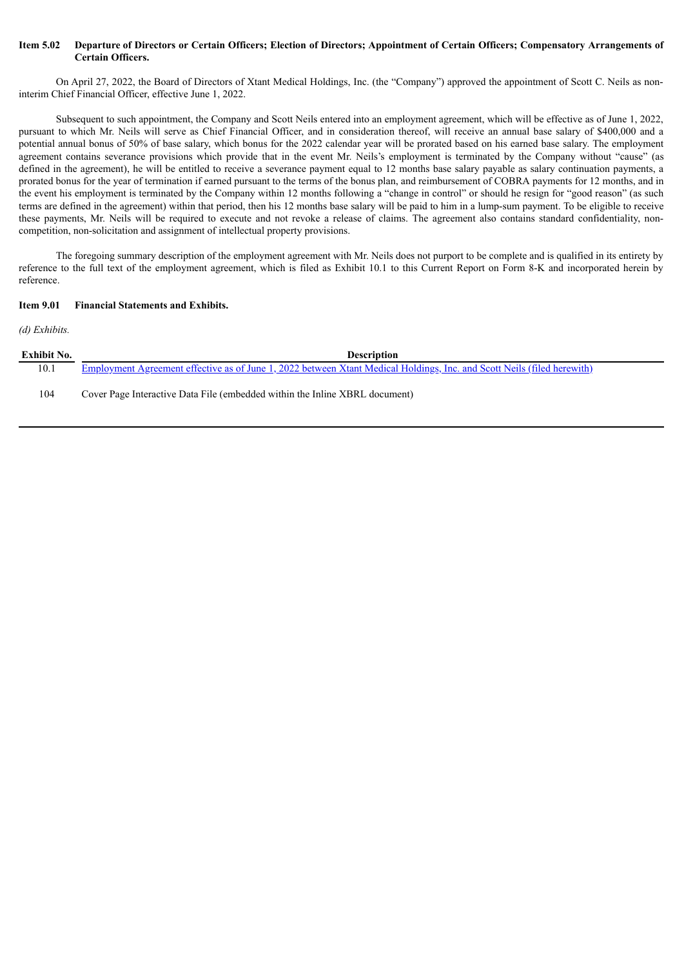#### Item 5.02 Departure of Directors or Certain Officers; Election of Directors; Appointment of Certain Officers; Compensatory Arrangements of **Certain Officers.**

On April 27, 2022, the Board of Directors of Xtant Medical Holdings, Inc. (the "Company") approved the appointment of Scott C. Neils as noninterim Chief Financial Officer, effective June 1, 2022.

Subsequent to such appointment, the Company and Scott Neils entered into an employment agreement, which will be effective as of June 1, 2022, pursuant to which Mr. Neils will serve as Chief Financial Officer, and in consideration thereof, will receive an annual base salary of \$400,000 and a potential annual bonus of 50% of base salary, which bonus for the 2022 calendar year will be prorated based on his earned base salary. The employment agreement contains severance provisions which provide that in the event Mr. Neils's employment is terminated by the Company without "cause" (as defined in the agreement), he will be entitled to receive a severance payment equal to 12 months base salary payable as salary continuation payments, a prorated bonus for the year of termination if earned pursuant to the terms of the bonus plan, and reimbursement of COBRA payments for 12 months, and in the event his employment is terminated by the Company within 12 months following a "change in control" or should he resign for "good reason" (as such terms are defined in the agreement) within that period, then his 12 months base salary will be paid to him in a lump-sum payment. To be eligible to receive these payments, Mr. Neils will be required to execute and not revoke a release of claims. The agreement also contains standard confidentiality, noncompetition, non-solicitation and assignment of intellectual property provisions.

The foregoing summary description of the employment agreement with Mr. Neils does not purport to be complete and is qualified in its entirety by reference to the full text of the employment agreement, which is filed as Exhibit 10.1 to this Current Report on Form 8-K and incorporated herein by reference.

#### **Item 9.01 Financial Statements and Exhibits.**

#### *(d) Exhibits.*

| Exhibit No. | <b>Description</b>                                                                                                      |
|-------------|-------------------------------------------------------------------------------------------------------------------------|
| 10.1        | Employment Agreement effective as of June 1, 2022 between Xtant Medical Holdings, Inc. and Scott Neils (filed herewith) |
| 104         | Cover Page Interactive Data File (embedded within the Inline XBRL document)                                             |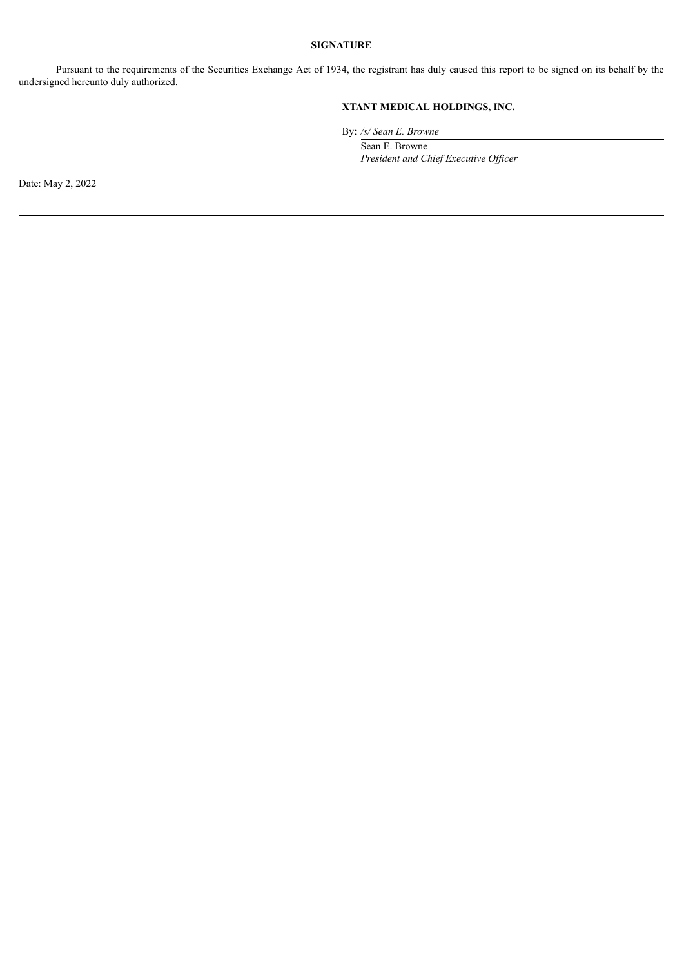#### **SIGNATURE**

Pursuant to the requirements of the Securities Exchange Act of 1934, the registrant has duly caused this report to be signed on its behalf by the undersigned hereunto duly authorized.

# **XTANT MEDICAL HOLDINGS, INC.**

By: */s/ Sean E. Browne*

Sean E. Browne *President and Chief Executive Of icer*

Date: May 2, 2022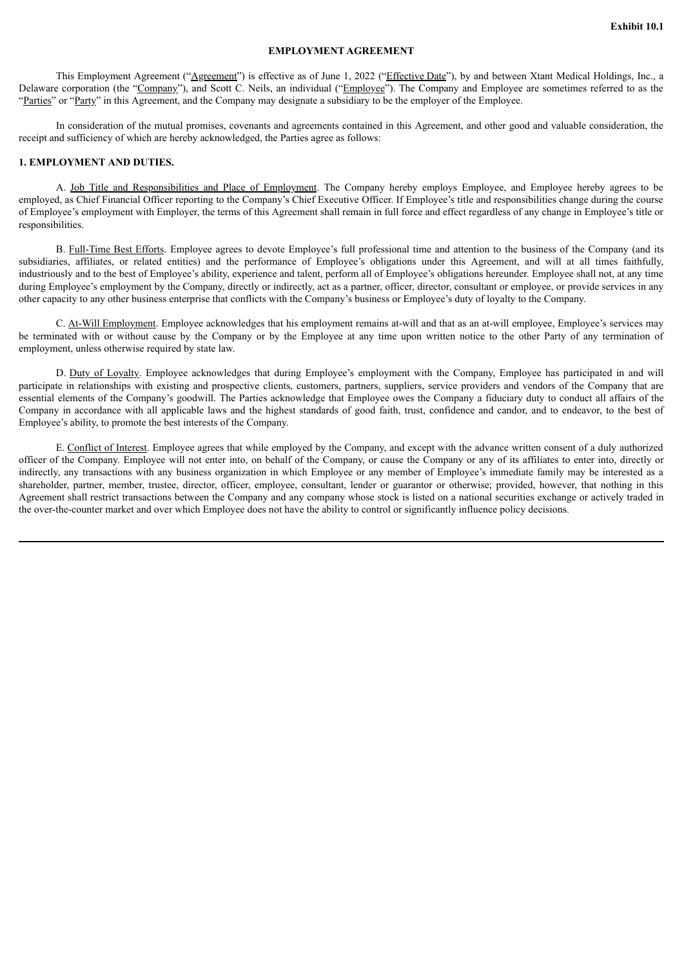#### **EMPLOYMENT AGREEMENT**

<span id="page-3-0"></span>This Employment Agreement ("Agreement") is effective as of June 1, 2022 ("Effective Date"), by and between Xtant Medical Holdings, Inc., a Delaware corporation (the "Company"), and Scott C. Neils, an individual ("Employee"). The Company and Employee are sometimes referred to as the "Parties" or "Party" in this Agreement, and the Company may designate a subsidiary to be the employer of the Employee.

In consideration of the mutual promises, covenants and agreements contained in this Agreement, and other good and valuable consideration, the receipt and sufficiency of which are hereby acknowledged, the Parties agree as follows:

#### **1. EMPLOYMENT AND DUTIES.**

A. Job Title and Responsibilities and Place of Employment. The Company hereby employs Employee, and Employee hereby agrees to be employed, as Chief Financial Officer reporting to the Company's Chief Executive Officer. If Employee's title and responsibilities change during the course of Employee's employment with Employer, the terms of this Agreement shall remain in full force and effect regardless of any change in Employee's title or responsibilities.

B. Full-Time Best Efforts. Employee agrees to devote Employee's full professional time and attention to the business of the Company (and its subsidiaries, affiliates, or related entities) and the performance of Employee's obligations under this Agreement, and will at all times faithfully industriously and to the best of Employee's ability, experience and talent, perform all of Employee's obligations hereunder. Employee shall not, at any time during Employee's employment by the Company, directly or indirectly, act as a partner, officer, director, consultant or employee, or provide services in any other capacity to any other business enterprise that conflicts with the Company's business or Employee's duty of loyalty to the Company.

C. At-Will Employment. Employee acknowledges that his employment remains at-will and that as an at-will employee, Employee's services may be terminated with or without cause by the Company or by the Employee at any time upon written notice to the other Party of any termination of employment, unless otherwise required by state law.

D. Duty of Loyalty. Employee acknowledges that during Employee's employment with the Company, Employee has participated in and will participate in relationships with existing and prospective clients, customers, partners, suppliers, service providers and vendors of the Company that are essential elements of the Company's goodwill. The Parties acknowledge that Employee owes the Company a fiduciary duty to conduct all affairs of the Company in accordance with all applicable laws and the highest standards of good faith, trust, confidence and candor, and to endeavor, to the best of Employee's ability, to promote the best interests of the Company.

E. Conflict of Interest. Employee agrees that while employed by the Company, and except with the advance written consent of a duly authorized officer of the Company. Employee will not enter into, on behalf of the Company, or cause the Company or any of its affiliates to enter into, directly or indirectly, any transactions with any business organization in which Employee or any member of Employee's immediate family may be interested as a shareholder, partner, member, trustee, director, officer, employee, consultant, lender or guarantor or otherwise; provided, however, that nothing in this Agreement shall restrict transactions between the Company and any company whose stock is listed on a national securities exchange or actively traded in the over-the-counter market and over which Employee does not have the ability to control or significantly influence policy decisions.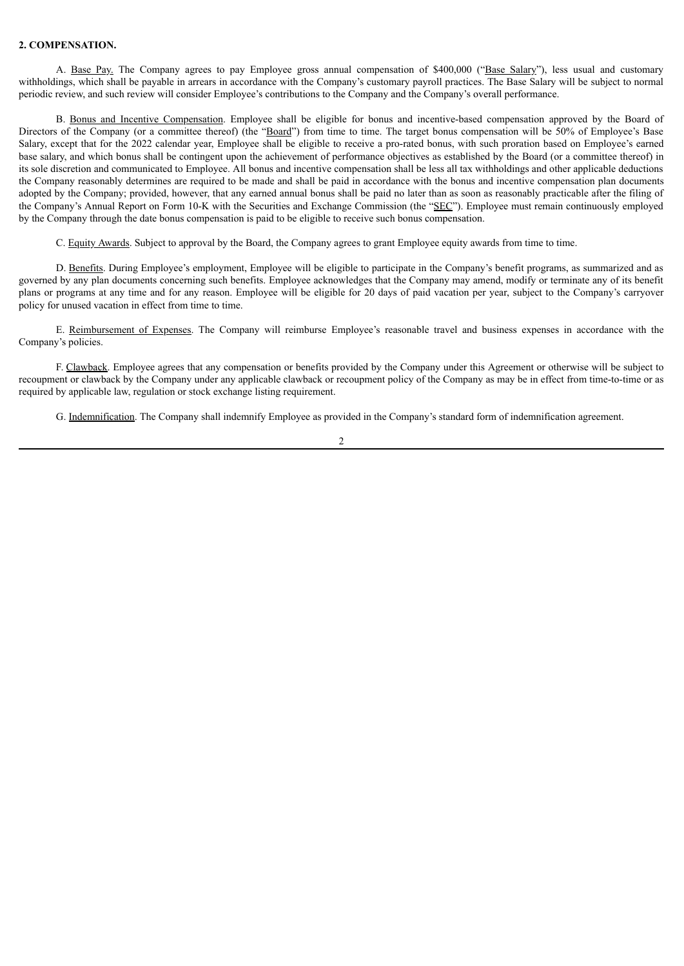#### **2. COMPENSATION.**

A. Base Pay. The Company agrees to pay Employee gross annual compensation of \$400,000 ("Base Salary"), less usual and customary withholdings, which shall be payable in arrears in accordance with the Company's customary payroll practices. The Base Salary will be subject to normal periodic review, and such review will consider Employee's contributions to the Company and the Company's overall performance.

B. Bonus and Incentive Compensation. Employee shall be eligible for bonus and incentive-based compensation approved by the Board of Directors of the Company (or a committee thereof) (the "Board") from time to time. The target bonus compensation will be 50% of Employee's Base Salary, except that for the 2022 calendar year, Employee shall be eligible to receive a pro-rated bonus, with such proration based on Employee's earned base salary, and which bonus shall be contingent upon the achievement of performance objectives as established by the Board (or a committee thereof) in its sole discretion and communicated to Employee. All bonus and incentive compensation shall be less all tax withholdings and other applicable deductions the Company reasonably determines are required to be made and shall be paid in accordance with the bonus and incentive compensation plan documents adopted by the Company; provided, however, that any earned annual bonus shall be paid no later than as soon as reasonably practicable after the filing of the Company's Annual Report on Form 10-K with the Securities and Exchange Commission (the "SEC"). Employee must remain continuously employed by the Company through the date bonus compensation is paid to be eligible to receive such bonus compensation.

C. Equity Awards. Subject to approval by the Board, the Company agrees to grant Employee equity awards from time to time.

D. Benefits. During Employee's employment, Employee will be eligible to participate in the Company's benefit programs, as summarized and as governed by any plan documents concerning such benefits. Employee acknowledges that the Company may amend, modify or terminate any of its benefit plans or programs at any time and for any reason. Employee will be eligible for 20 days of paid vacation per year, subject to the Company's carryover policy for unused vacation in effect from time to time.

E. Reimbursement of Expenses. The Company will reimburse Employee's reasonable travel and business expenses in accordance with the Company's policies.

F. Clawback. Employee agrees that any compensation or benefits provided by the Company under this Agreement or otherwise will be subject to recoupment or clawback by the Company under any applicable clawback or recoupment policy of the Company as may be in effect from time-to-time or as required by applicable law, regulation or stock exchange listing requirement.

G. Indemnification. The Company shall indemnify Employee as provided in the Company's standard form of indemnification agreement.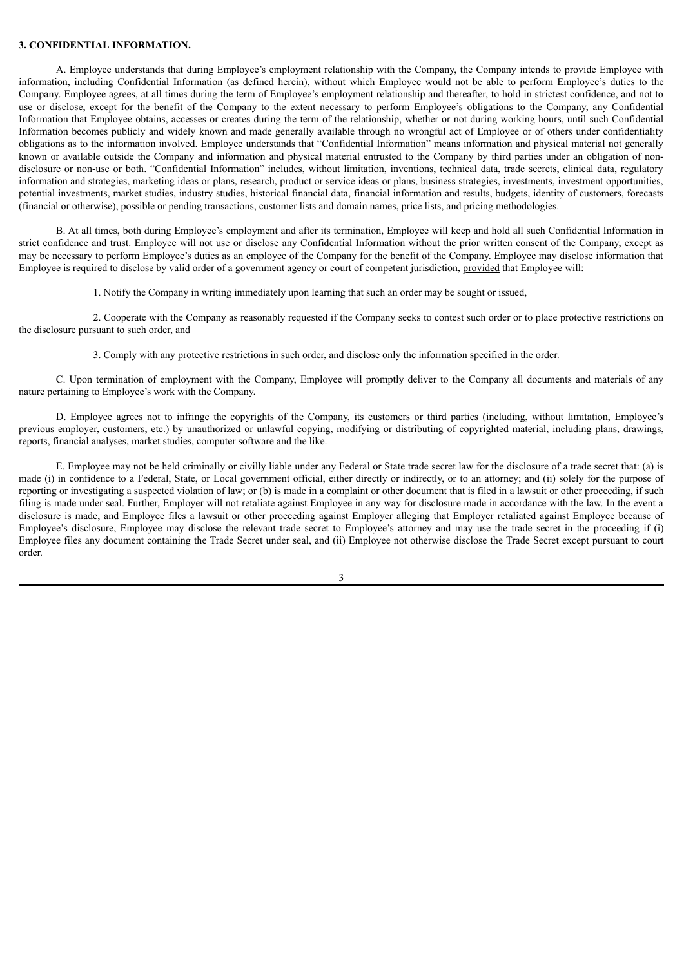#### **3. CONFIDENTIAL INFORMATION.**

A. Employee understands that during Employee's employment relationship with the Company, the Company intends to provide Employee with information, including Confidential Information (as defined herein), without which Employee would not be able to perform Employee's duties to the Company. Employee agrees, at all times during the term of Employee's employment relationship and thereafter, to hold in strictest confidence, and not to use or disclose, except for the benefit of the Company to the extent necessary to perform Employee's obligations to the Company, any Confidential Information that Employee obtains, accesses or creates during the term of the relationship, whether or not during working hours, until such Confidential Information becomes publicly and widely known and made generally available through no wrongful act of Employee or of others under confidentiality obligations as to the information involved. Employee understands that "Confidential Information" means information and physical material not generally known or available outside the Company and information and physical material entrusted to the Company by third parties under an obligation of nondisclosure or non-use or both. "Confidential Information" includes, without limitation, inventions, technical data, trade secrets, clinical data, regulatory information and strategies, marketing ideas or plans, research, product or service ideas or plans, business strategies, investments, investment opportunities, potential investments, market studies, industry studies, historical financial data, financial information and results, budgets, identity of customers, forecasts (financial or otherwise), possible or pending transactions, customer lists and domain names, price lists, and pricing methodologies.

B. At all times, both during Employee's employment and after its termination, Employee will keep and hold all such Confidential Information in strict confidence and trust. Employee will not use or disclose any Confidential Information without the prior written consent of the Company, except as may be necessary to perform Employee's duties as an employee of the Company for the benefit of the Company. Employee may disclose information that Employee is required to disclose by valid order of a government agency or court of competent jurisdiction, provided that Employee will:

1. Notify the Company in writing immediately upon learning that such an order may be sought or issued,

2. Cooperate with the Company as reasonably requested if the Company seeks to contest such order or to place protective restrictions on the disclosure pursuant to such order, and

3. Comply with any protective restrictions in such order, and disclose only the information specified in the order.

C. Upon termination of employment with the Company, Employee will promptly deliver to the Company all documents and materials of any nature pertaining to Employee's work with the Company.

D. Employee agrees not to infringe the copyrights of the Company, its customers or third parties (including, without limitation, Employee's previous employer, customers, etc.) by unauthorized or unlawful copying, modifying or distributing of copyrighted material, including plans, drawings, reports, financial analyses, market studies, computer software and the like.

E. Employee may not be held criminally or civilly liable under any Federal or State trade secret law for the disclosure of a trade secret that: (a) is made (i) in confidence to a Federal, State, or Local government official, either directly or indirectly, or to an attorney; and (ii) solely for the purpose of reporting or investigating a suspected violation of law; or (b) is made in a complaint or other document that is filed in a lawsuit or other proceeding, if such filing is made under seal. Further, Employer will not retaliate against Employee in any way for disclosure made in accordance with the law. In the event a disclosure is made, and Employee files a lawsuit or other proceeding against Employer alleging that Employer retaliated against Employee because of Employee's disclosure, Employee may disclose the relevant trade secret to Employee's attorney and may use the trade secret in the proceeding if (i) Employee files any document containing the Trade Secret under seal, and (ii) Employee not otherwise disclose the Trade Secret except pursuant to court order.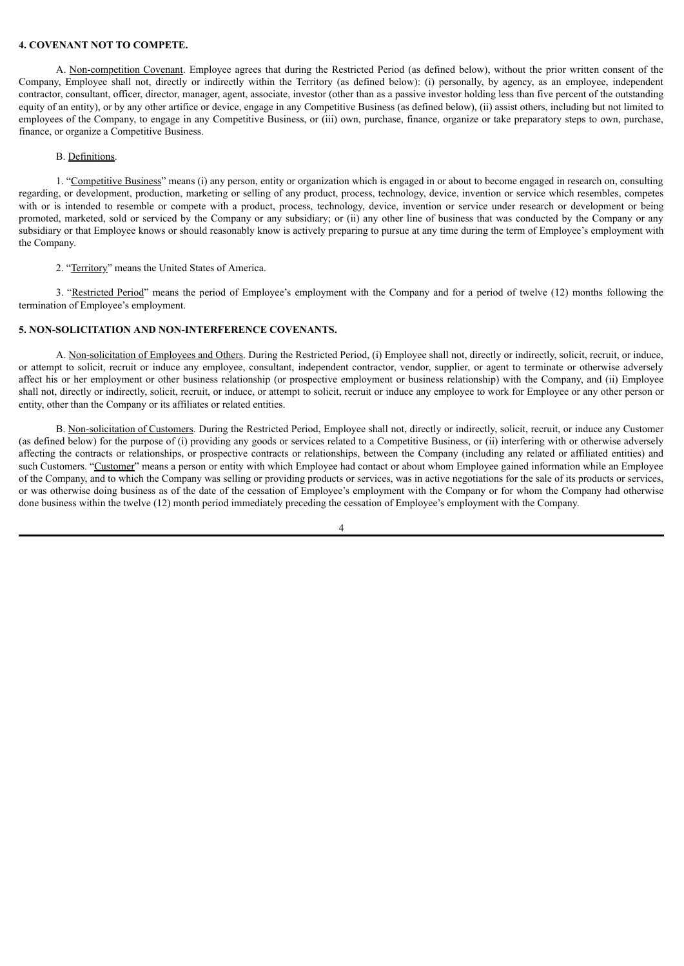#### **4. COVENANT NOT TO COMPETE.**

A. Non-competition Covenant. Employee agrees that during the Restricted Period (as defined below), without the prior written consent of the Company, Employee shall not, directly or indirectly within the Territory (as defined below): (i) personally, by agency, as an employee, independent contractor, consultant, officer, director, manager, agent, associate, investor (other than as a passive investor holding less than five percent of the outstanding equity of an entity), or by any other artifice or device, engage in any Competitive Business (as defined below), (ii) assist others, including but not limited to employees of the Company, to engage in any Competitive Business, or (iii) own, purchase, finance, organize or take preparatory steps to own, purchase, finance, or organize a Competitive Business.

#### B. Definitions.

1. "Competitive Business" means (i) any person, entity or organization which is engaged in or about to become engaged in research on, consulting regarding, or development, production, marketing or selling of any product, process, technology, device, invention or service which resembles, competes with or is intended to resemble or compete with a product, process, technology, device, invention or service under research or development or being promoted, marketed, sold or serviced by the Company or any subsidiary; or (ii) any other line of business that was conducted by the Company or any subsidiary or that Employee knows or should reasonably know is actively preparing to pursue at any time during the term of Employee's employment with the Company.

2. "Territory" means the United States of America.

3. "Restricted Period" means the period of Employee's employment with the Company and for a period of twelve (12) months following the termination of Employee's employment.

#### **5. NON-SOLICITATION AND NON-INTERFERENCE COVENANTS.**

A. Non-solicitation of Employees and Others. During the Restricted Period, (i) Employee shall not, directly or indirectly, solicit, recruit, or induce, or attempt to solicit, recruit or induce any employee, consultant, independent contractor, vendor, supplier, or agent to terminate or otherwise adversely affect his or her employment or other business relationship (or prospective employment or business relationship) with the Company, and (ii) Employee shall not, directly or indirectly, solicit, recruit, or induce, or attempt to solicit, recruit or induce any employee to work for Employee or any other person or entity, other than the Company or its affiliates or related entities.

B. Non-solicitation of Customers. During the Restricted Period, Employee shall not, directly or indirectly, solicit, recruit, or induce any Customer (as defined below) for the purpose of (i) providing any goods or services related to a Competitive Business, or (ii) interfering with or otherwise adversely affecting the contracts or relationships, or prospective contracts or relationships, between the Company (including any related or affiliated entities) and such Customers. "Customer" means a person or entity with which Employee had contact or about whom Employee gained information while an Employee of the Company, and to which the Company was selling or providing products or services, was in active negotiations for the sale of its products or services, or was otherwise doing business as of the date of the cessation of Employee's employment with the Company or for whom the Company had otherwise done business within the twelve (12) month period immediately preceding the cessation of Employee's employment with the Company.

<sup>4</sup>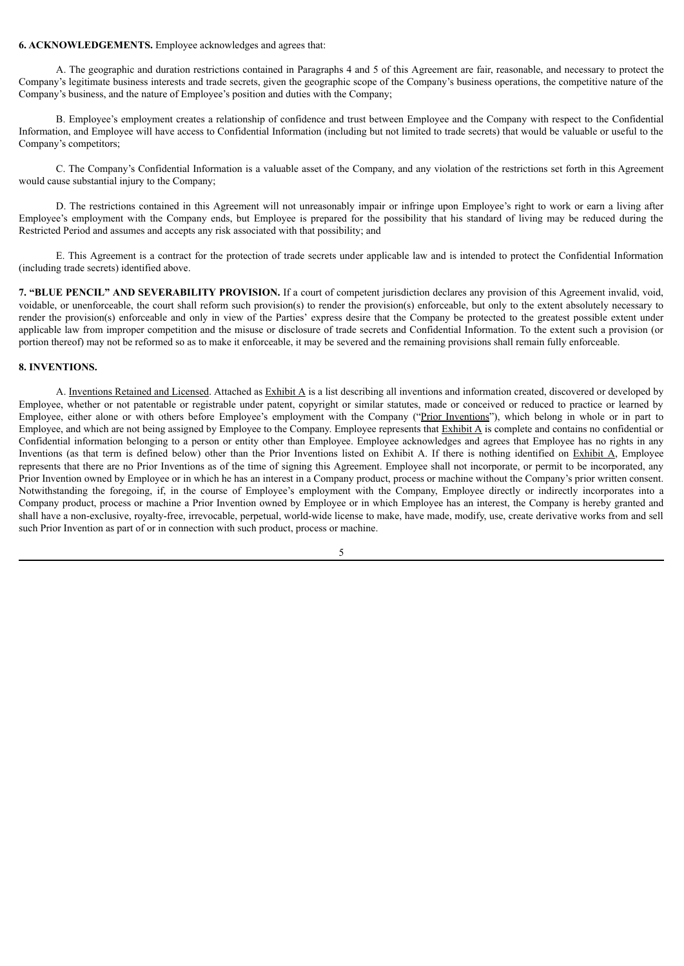#### **6. ACKNOWLEDGEMENTS.** Employee acknowledges and agrees that:

A. The geographic and duration restrictions contained in Paragraphs 4 and 5 of this Agreement are fair, reasonable, and necessary to protect the Company's legitimate business interests and trade secrets, given the geographic scope of the Company's business operations, the competitive nature of the Company's business, and the nature of Employee's position and duties with the Company;

B. Employee's employment creates a relationship of confidence and trust between Employee and the Company with respect to the Confidential Information, and Employee will have access to Confidential Information (including but not limited to trade secrets) that would be valuable or useful to the Company's competitors;

C. The Company's Confidential Information is a valuable asset of the Company, and any violation of the restrictions set forth in this Agreement would cause substantial injury to the Company;

D. The restrictions contained in this Agreement will not unreasonably impair or infringe upon Employee's right to work or earn a living after Employee's employment with the Company ends, but Employee is prepared for the possibility that his standard of living may be reduced during the Restricted Period and assumes and accepts any risk associated with that possibility; and

E. This Agreement is a contract for the protection of trade secrets under applicable law and is intended to protect the Confidential Information (including trade secrets) identified above.

**7. "BLUE PENCIL" AND SEVERABILITY PROVISION.** If a court of competent jurisdiction declares any provision of this Agreement invalid, void, voidable, or unenforceable, the court shall reform such provision(s) to render the provision(s) enforceable, but only to the extent absolutely necessary to render the provision(s) enforceable and only in view of the Parties' express desire that the Company be protected to the greatest possible extent under applicable law from improper competition and the misuse or disclosure of trade secrets and Confidential Information. To the extent such a provision (or portion thereof) may not be reformed so as to make it enforceable, it may be severed and the remaining provisions shall remain fully enforceable.

#### **8. INVENTIONS.**

A. Inventions Retained and Licensed. Attached as Exhibit A is a list describing all inventions and information created, discovered or developed by Employee, whether or not patentable or registrable under patent, copyright or similar statutes, made or conceived or reduced to practice or learned by Employee, either alone or with others before Employee's employment with the Company ("Prior Inventions"), which belong in whole or in part to Employee, and which are not being assigned by Employee to the Company. Employee represents that  $\frac{Exhibit A}{A}$  is complete and contains no confidential or Confidential information belonging to a person or entity other than Employee. Employee acknowledges and agrees that Employee has no rights in any Inventions (as that term is defined below) other than the Prior Inventions listed on Exhibit A. If there is nothing identified on Exhibit A, Employee represents that there are no Prior Inventions as of the time of signing this Agreement. Employee shall not incorporate, or permit to be incorporated, any Prior Invention owned by Employee or in which he has an interest in a Company product, process or machine without the Company's prior written consent. Notwithstanding the foregoing, if, in the course of Employee's employment with the Company, Employee directly or indirectly incorporates into a Company product, process or machine a Prior Invention owned by Employee or in which Employee has an interest, the Company is hereby granted and shall have a non-exclusive, royalty-free, irrevocable, perpetual, world-wide license to make, have made, modify, use, create derivative works from and sell such Prior Invention as part of or in connection with such product, process or machine.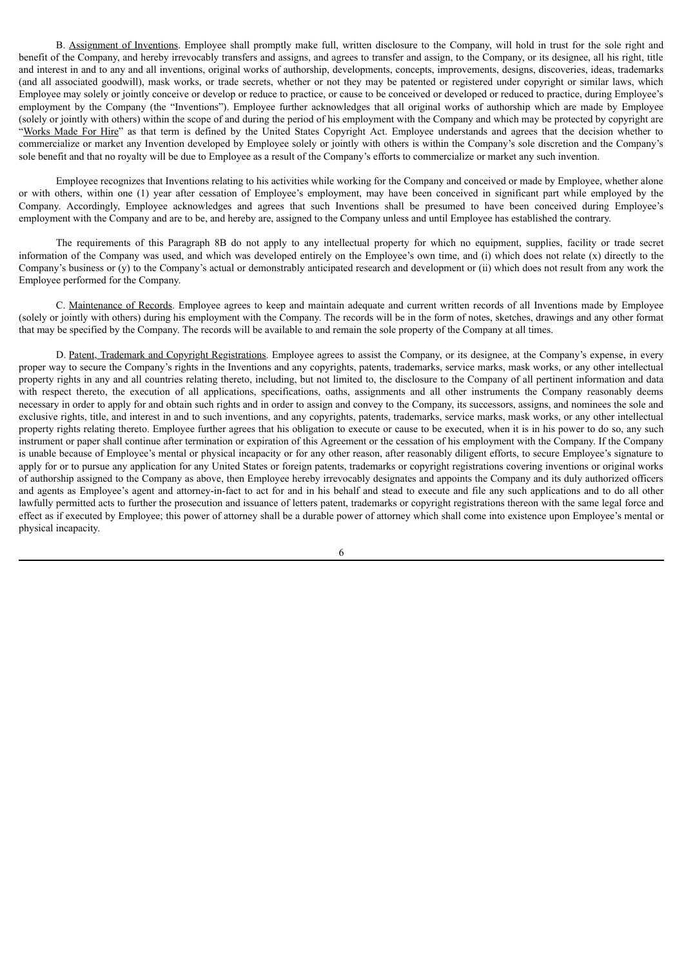B. Assignment of Inventions. Employee shall promptly make full, written disclosure to the Company, will hold in trust for the sole right and benefit of the Company, and hereby irrevocably transfers and assigns, and agrees to transfer and assign, to the Company, or its designee, all his right, title and interest in and to any and all inventions, original works of authorship, developments, concepts, improvements, designs, discoveries, ideas, trademarks (and all associated goodwill), mask works, or trade secrets, whether or not they may be patented or registered under copyright or similar laws, which Employee may solely or jointly conceive or develop or reduce to practice, or cause to be conceived or developed or reduced to practice, during Employee's employment by the Company (the "Inventions"). Employee further acknowledges that all original works of authorship which are made by Employee (solely or jointly with others) within the scope of and during the period of his employment with the Company and which may be protected by copyright are "Works Made For Hire" as that term is defined by the United States Copyright Act. Employee understands and agrees that the decision whether to commercialize or market any Invention developed by Employee solely or jointly with others is within the Company's sole discretion and the Company's sole benefit and that no royalty will be due to Employee as a result of the Company's efforts to commercialize or market any such invention.

Employee recognizes that Inventions relating to his activities while working for the Company and conceived or made by Employee, whether alone or with others, within one (1) year after cessation of Employee's employment, may have been conceived in significant part while employed by the Company. Accordingly, Employee acknowledges and agrees that such Inventions shall be presumed to have been conceived during Employee's employment with the Company and are to be, and hereby are, assigned to the Company unless and until Employee has established the contrary.

The requirements of this Paragraph 8B do not apply to any intellectual property for which no equipment, supplies, facility or trade secret information of the Company was used, and which was developed entirely on the Employee's own time, and (i) which does not relate (x) directly to the Company's business or (y) to the Company's actual or demonstrably anticipated research and development or (ii) which does not result from any work the Employee performed for the Company.

C. Maintenance of Records. Employee agrees to keep and maintain adequate and current written records of all Inventions made by Employee (solely or jointly with others) during his employment with the Company. The records will be in the form of notes, sketches, drawings and any other format that may be specified by the Company. The records will be available to and remain the sole property of the Company at all times.

D. Patent, Trademark and Copyright Registrations. Employee agrees to assist the Company, or its designee, at the Company's expense, in every proper way to secure the Company's rights in the Inventions and any copyrights, patents, trademarks, service marks, mask works, or any other intellectual property rights in any and all countries relating thereto, including, but not limited to, the disclosure to the Company of all pertinent information and data with respect thereto, the execution of all applications, specifications, oaths, assignments and all other instruments the Company reasonably deems necessary in order to apply for and obtain such rights and in order to assign and convey to the Company, its successors, assigns, and nominees the sole and exclusive rights, title, and interest in and to such inventions, and any copyrights, patents, trademarks, service marks, mask works, or any other intellectual property rights relating thereto. Employee further agrees that his obligation to execute or cause to be executed, when it is in his power to do so, any such instrument or paper shall continue after termination or expiration of this Agreement or the cessation of his employment with the Company. If the Company is unable because of Employee's mental or physical incapacity or for any other reason, after reasonably diligent efforts, to secure Employee's signature to apply for or to pursue any application for any United States or foreign patents, trademarks or copyright registrations covering inventions or original works of authorship assigned to the Company as above, then Employee hereby irrevocably designates and appoints the Company and its duly authorized officers and agents as Employee's agent and attorney-in-fact to act for and in his behalf and stead to execute and file any such applications and to do all other lawfully permitted acts to further the prosecution and issuance of letters patent, trademarks or copyright registrations thereon with the same legal force and effect as if executed by Employee; this power of attorney shall be a durable power of attorney which shall come into existence upon Employee's mental or physical incapacity.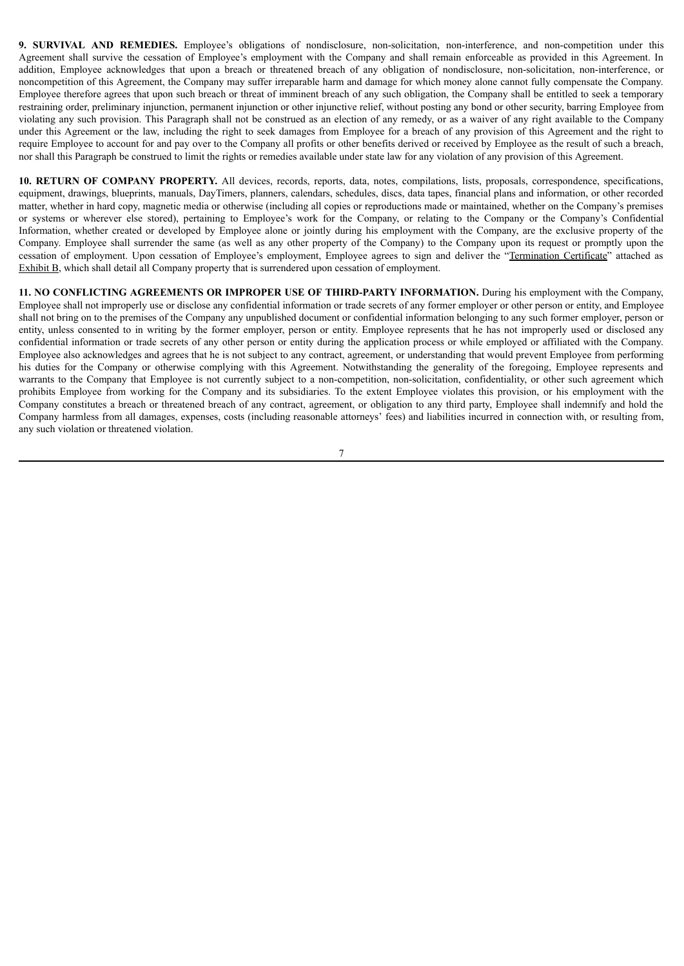**9. SURVIVAL AND REMEDIES.** Employee's obligations of nondisclosure, non-solicitation, non-interference, and non-competition under this Agreement shall survive the cessation of Employee's employment with the Company and shall remain enforceable as provided in this Agreement. In addition, Employee acknowledges that upon a breach or threatened breach of any obligation of nondisclosure, non-solicitation, non-interference, or noncompetition of this Agreement, the Company may suffer irreparable harm and damage for which money alone cannot fully compensate the Company. Employee therefore agrees that upon such breach or threat of imminent breach of any such obligation, the Company shall be entitled to seek a temporary restraining order, preliminary injunction, permanent injunction or other injunctive relief, without posting any bond or other security, barring Employee from violating any such provision. This Paragraph shall not be construed as an election of any remedy, or as a waiver of any right available to the Company under this Agreement or the law, including the right to seek damages from Employee for a breach of any provision of this Agreement and the right to require Employee to account for and pay over to the Company all profits or other benefits derived or received by Employee as the result of such a breach, nor shall this Paragraph be construed to limit the rights or remedies available under state law for any violation of any provision of this Agreement.

**10. RETURN OF COMPANY PROPERTY.** All devices, records, reports, data, notes, compilations, lists, proposals, correspondence, specifications, equipment, drawings, blueprints, manuals, DayTimers, planners, calendars, schedules, discs, data tapes, financial plans and information, or other recorded matter, whether in hard copy, magnetic media or otherwise (including all copies or reproductions made or maintained, whether on the Company's premises or systems or wherever else stored), pertaining to Employee's work for the Company, or relating to the Company or the Company's Confidential Information, whether created or developed by Employee alone or jointly during his employment with the Company, are the exclusive property of the Company. Employee shall surrender the same (as well as any other property of the Company) to the Company upon its request or promptly upon the cessation of employment. Upon cessation of Employee's employment, Employee agrees to sign and deliver the "Termination Certificate" attached as Exhibit B, which shall detail all Company property that is surrendered upon cessation of employment.

**11. NO CONFLICTING AGREEMENTS OR IMPROPER USE OF THIRD-PARTY INFORMATION.** During his employment with the Company, Employee shall not improperly use or disclose any confidential information or trade secrets of any former employer or other person or entity, and Employee shall not bring on to the premises of the Company any unpublished document or confidential information belonging to any such former employer, person or entity, unless consented to in writing by the former employer, person or entity. Employee represents that he has not improperly used or disclosed any confidential information or trade secrets of any other person or entity during the application process or while employed or affiliated with the Company. Employee also acknowledges and agrees that he is not subject to any contract, agreement, or understanding that would prevent Employee from performing his duties for the Company or otherwise complying with this Agreement. Notwithstanding the generality of the foregoing, Employee represents and warrants to the Company that Employee is not currently subject to a non-competition, non-solicitation, confidentiality, or other such agreement which prohibits Employee from working for the Company and its subsidiaries. To the extent Employee violates this provision, or his employment with the Company constitutes a breach or threatened breach of any contract, agreement, or obligation to any third party, Employee shall indemnify and hold the Company harmless from all damages, expenses, costs (including reasonable attorneys' fees) and liabilities incurred in connection with, or resulting from, any such violation or threatened violation.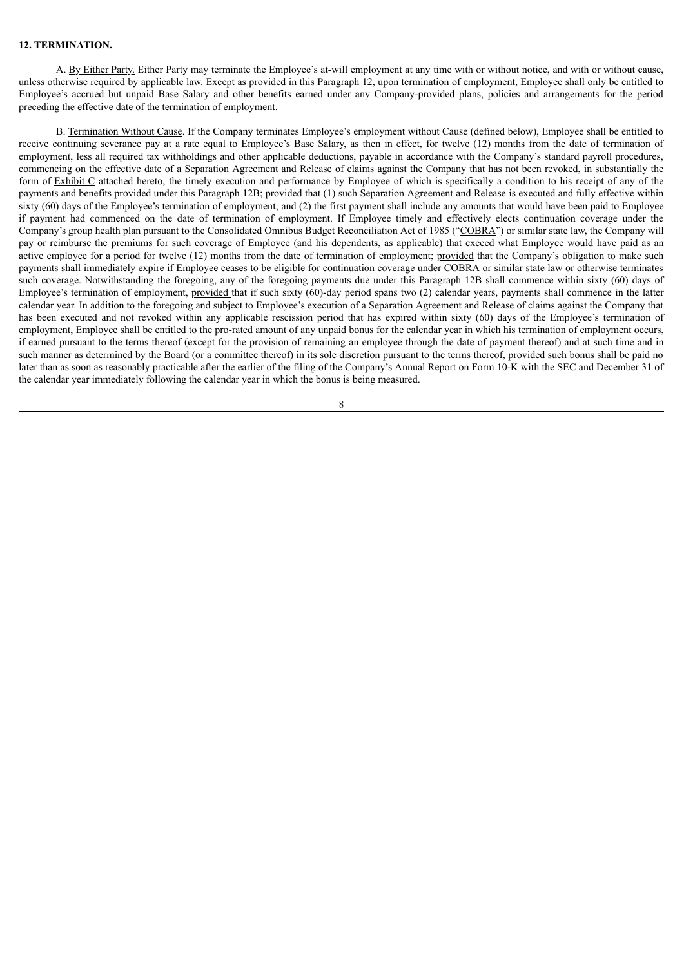#### **12. TERMINATION.**

A. By Either Party. Either Party may terminate the Employee's at-will employment at any time with or without notice, and with or without cause, unless otherwise required by applicable law. Except as provided in this Paragraph 12, upon termination of employment, Employee shall only be entitled to Employee's accrued but unpaid Base Salary and other benefits earned under any Company-provided plans, policies and arrangements for the period preceding the effective date of the termination of employment.

B. Termination Without Cause. If the Company terminates Employee's employment without Cause (defined below), Employee shall be entitled to receive continuing severance pay at a rate equal to Employee's Base Salary, as then in effect, for twelve (12) months from the date of termination of employment, less all required tax withholdings and other applicable deductions, payable in accordance with the Company's standard payroll procedures, commencing on the effective date of a Separation Agreement and Release of claims against the Company that has not been revoked, in substantially the form of Exhibit C attached hereto, the timely execution and performance by Employee of which is specifically a condition to his receipt of any of the payments and benefits provided under this Paragraph 12B; provided that (1) such Separation Agreement and Release is executed and fully effective within sixty (60) days of the Employee's termination of employment; and (2) the first payment shall include any amounts that would have been paid to Employee if payment had commenced on the date of termination of employment. If Employee timely and effectively elects continuation coverage under the Company's group health plan pursuant to the Consolidated Omnibus Budget Reconciliation Act of 1985 ("COBRA") or similar state law, the Company will pay or reimburse the premiums for such coverage of Employee (and his dependents, as applicable) that exceed what Employee would have paid as an active employee for a period for twelve (12) months from the date of termination of employment; provided that the Company's obligation to make such payments shall immediately expire if Employee ceases to be eligible for continuation coverage under COBRA or similar state law or otherwise terminates such coverage. Notwithstanding the foregoing, any of the foregoing payments due under this Paragraph 12B shall commence within sixty (60) days of Employee's termination of employment, provided that if such sixty (60)-day period spans two (2) calendar years, payments shall commence in the latter calendar year. In addition to the foregoing and subject to Employee's execution of a Separation Agreement and Release of claims against the Company that has been executed and not revoked within any applicable rescission period that has expired within sixty (60) days of the Employee's termination of employment, Employee shall be entitled to the pro-rated amount of any unpaid bonus for the calendar year in which his termination of employment occurs, if earned pursuant to the terms thereof (except for the provision of remaining an employee through the date of payment thereof) and at such time and in such manner as determined by the Board (or a committee thereof) in its sole discretion pursuant to the terms thereof, provided such bonus shall be paid no later than as soon as reasonably practicable after the earlier of the filing of the Company's Annual Report on Form 10-K with the SEC and December 31 of the calendar year immediately following the calendar year in which the bonus is being measured.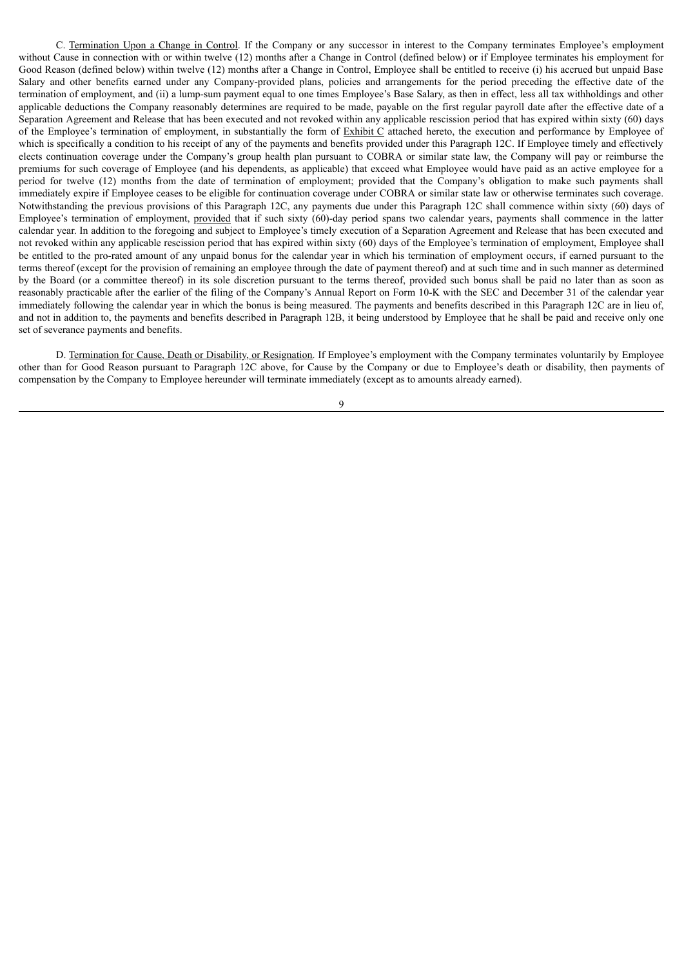C. Termination Upon a Change in Control. If the Company or any successor in interest to the Company terminates Employee's employment without Cause in connection with or within twelve (12) months after a Change in Control (defined below) or if Employee terminates his employment for Good Reason (defined below) within twelve (12) months after a Change in Control, Employee shall be entitled to receive (i) his accrued but unpaid Base Salary and other benefits earned under any Company-provided plans, policies and arrangements for the period preceding the effective date of the termination of employment, and (ii) a lump-sum payment equal to one times Employee's Base Salary, as then in effect, less all tax withholdings and other applicable deductions the Company reasonably determines are required to be made, payable on the first regular payroll date after the effective date of a Separation Agreement and Release that has been executed and not revoked within any applicable rescission period that has expired within sixty (60) days of the Employee's termination of employment, in substantially the form of Exhibit C attached hereto, the execution and performance by Employee of which is specifically a condition to his receipt of any of the payments and benefits provided under this Paragraph 12C. If Employee timely and effectively elects continuation coverage under the Company's group health plan pursuant to COBRA or similar state law, the Company will pay or reimburse the premiums for such coverage of Employee (and his dependents, as applicable) that exceed what Employee would have paid as an active employee for a period for twelve (12) months from the date of termination of employment; provided that the Company's obligation to make such payments shall immediately expire if Employee ceases to be eligible for continuation coverage under COBRA or similar state law or otherwise terminates such coverage. Notwithstanding the previous provisions of this Paragraph 12C, any payments due under this Paragraph 12C shall commence within sixty (60) days of Employee's termination of employment, provided that if such sixty (60)-day period spans two calendar years, payments shall commence in the latter calendar year. In addition to the foregoing and subject to Employee's timely execution of a Separation Agreement and Release that has been executed and not revoked within any applicable rescission period that has expired within sixty (60) days of the Employee's termination of employment, Employee shall be entitled to the pro-rated amount of any unpaid bonus for the calendar year in which his termination of employment occurs, if earned pursuant to the terms thereof (except for the provision of remaining an employee through the date of payment thereof) and at such time and in such manner as determined by the Board (or a committee thereof) in its sole discretion pursuant to the terms thereof, provided such bonus shall be paid no later than as soon as reasonably practicable after the earlier of the filing of the Company's Annual Report on Form 10-K with the SEC and December 31 of the calendar year immediately following the calendar year in which the bonus is being measured. The payments and benefits described in this Paragraph 12C are in lieu of, and not in addition to, the payments and benefits described in Paragraph 12B, it being understood by Employee that he shall be paid and receive only one set of severance payments and benefits.

D. Termination for Cause, Death or Disability, or Resignation. If Employee's employment with the Company terminates voluntarily by Employee other than for Good Reason pursuant to Paragraph 12C above, for Cause by the Company or due to Employee's death or disability, then payments of compensation by the Company to Employee hereunder will terminate immediately (except as to amounts already earned).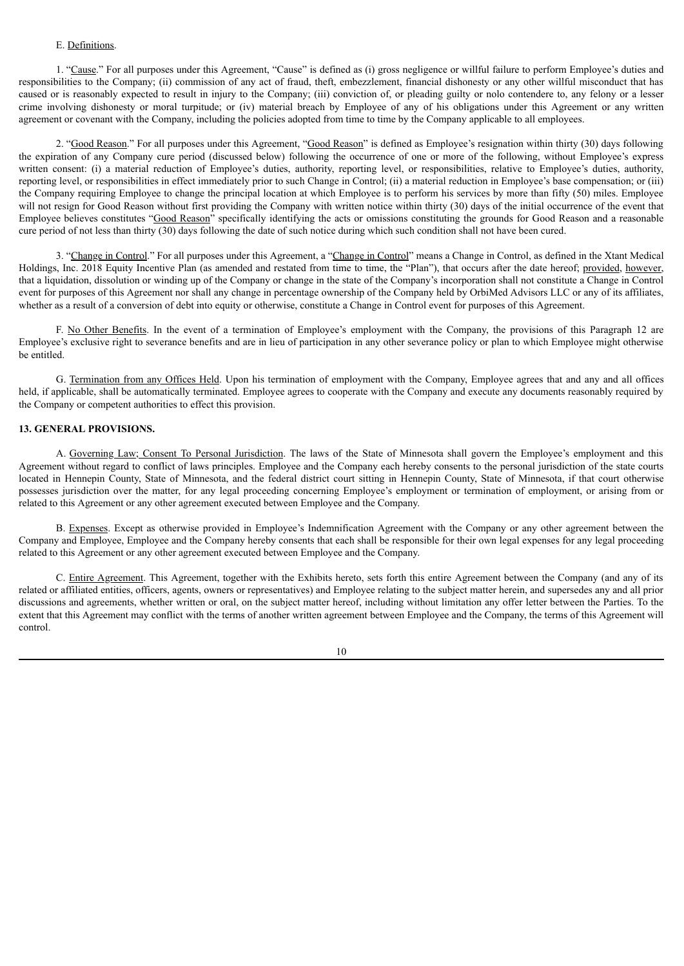#### E. Definitions.

1. "Cause." For all purposes under this Agreement, "Cause" is defined as (i) gross negligence or willful failure to perform Employee's duties and responsibilities to the Company; (ii) commission of any act of fraud, theft, embezzlement, financial dishonesty or any other willful misconduct that has caused or is reasonably expected to result in injury to the Company; (iii) conviction of, or pleading guilty or nolo contendere to, any felony or a lesser crime involving dishonesty or moral turpitude; or (iv) material breach by Employee of any of his obligations under this Agreement or any written agreement or covenant with the Company, including the policies adopted from time to time by the Company applicable to all employees.

2. "Good Reason." For all purposes under this Agreement, "Good Reason" is defined as Employee's resignation within thirty (30) days following the expiration of any Company cure period (discussed below) following the occurrence of one or more of the following, without Employee's express written consent: (i) a material reduction of Employee's duties, authority, reporting level, or responsibilities, relative to Employee's duties, authority, reporting level, or responsibilities in effect immediately prior to such Change in Control; (ii) a material reduction in Employee's base compensation; or (iii) the Company requiring Employee to change the principal location at which Employee is to perform his services by more than fifty (50) miles. Employee will not resign for Good Reason without first providing the Company with written notice within thirty (30) days of the initial occurrence of the event that Employee believes constitutes "Good Reason" specifically identifying the acts or omissions constituting the grounds for Good Reason and a reasonable cure period of not less than thirty (30) days following the date of such notice during which such condition shall not have been cured.

3. "Change in Control." For all purposes under this Agreement, a "Change in Control" means a Change in Control, as defined in the Xtant Medical Holdings, Inc. 2018 Equity Incentive Plan (as amended and restated from time to time, the "Plan"), that occurs after the date hereof; provided, however, that a liquidation, dissolution or winding up of the Company or change in the state of the Company's incorporation shall not constitute a Change in Control event for purposes of this Agreement nor shall any change in percentage ownership of the Company held by OrbiMed Advisors LLC or any of its affiliates, whether as a result of a conversion of debt into equity or otherwise, constitute a Change in Control event for purposes of this Agreement.

F. No Other Benefits. In the event of a termination of Employee's employment with the Company, the provisions of this Paragraph 12 are Employee's exclusive right to severance benefits and are in lieu of participation in any other severance policy or plan to which Employee might otherwise be entitled.

G. Termination from any Offices Held. Upon his termination of employment with the Company, Employee agrees that and any and all offices held, if applicable, shall be automatically terminated. Employee agrees to cooperate with the Company and execute any documents reasonably required by the Company or competent authorities to effect this provision.

#### **13. GENERAL PROVISIONS.**

A. Governing Law; Consent To Personal Jurisdiction. The laws of the State of Minnesota shall govern the Employee's employment and this Agreement without regard to conflict of laws principles. Employee and the Company each hereby consents to the personal jurisdiction of the state courts located in Hennepin County, State of Minnesota, and the federal district court sitting in Hennepin County, State of Minnesota, if that court otherwise possesses jurisdiction over the matter, for any legal proceeding concerning Employee's employment or termination of employment, or arising from or related to this Agreement or any other agreement executed between Employee and the Company.

B. Expenses. Except as otherwise provided in Employee's Indemnification Agreement with the Company or any other agreement between the Company and Employee, Employee and the Company hereby consents that each shall be responsible for their own legal expenses for any legal proceeding related to this Agreement or any other agreement executed between Employee and the Company.

C. Entire Agreement. This Agreement, together with the Exhibits hereto, sets forth this entire Agreement between the Company (and any of its related or affiliated entities, officers, agents, owners or representatives) and Employee relating to the subject matter herein, and supersedes any and all prior discussions and agreements, whether written or oral, on the subject matter hereof, including without limitation any offer letter between the Parties. To the extent that this Agreement may conflict with the terms of another written agreement between Employee and the Company, the terms of this Agreement will control.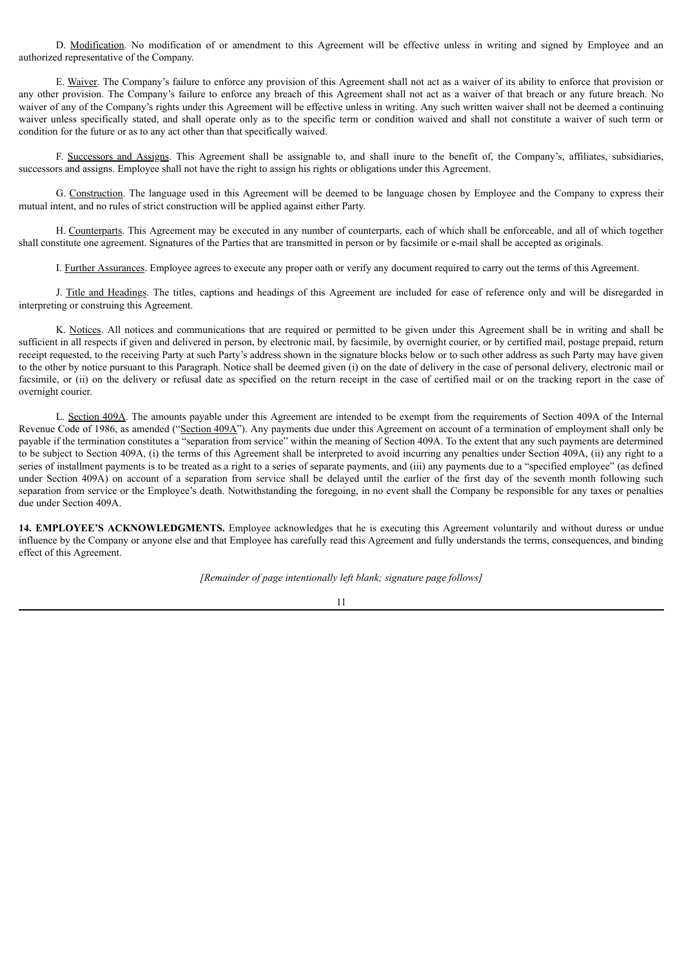D. Modification. No modification of or amendment to this Agreement will be effective unless in writing and signed by Employee and an authorized representative of the Company.

E. Waiver. The Company's failure to enforce any provision of this Agreement shall not act as a waiver of its ability to enforce that provision or any other provision. The Company's failure to enforce any breach of this Agreement shall not act as a waiver of that breach or any future breach. No waiver of any of the Company's rights under this Agreement will be effective unless in writing. Any such written waiver shall not be deemed a continuing waiver unless specifically stated, and shall operate only as to the specific term or condition waived and shall not constitute a waiver of such term or condition for the future or as to any act other than that specifically waived.

F. Successors and Assigns. This Agreement shall be assignable to, and shall inure to the benefit of, the Company's, affiliates, subsidiaries, successors and assigns. Employee shall not have the right to assign his rights or obligations under this Agreement.

G. Construction. The language used in this Agreement will be deemed to be language chosen by Employee and the Company to express their mutual intent, and no rules of strict construction will be applied against either Party.

H. Counterparts. This Agreement may be executed in any number of counterparts, each of which shall be enforceable, and all of which together shall constitute one agreement. Signatures of the Parties that are transmitted in person or by facsimile or e-mail shall be accepted as originals.

I. Further Assurances. Employee agrees to execute any proper oath or verify any document required to carry out the terms of this Agreement.

J. Title and Headings. The titles, captions and headings of this Agreement are included for ease of reference only and will be disregarded in interpreting or construing this Agreement.

K. Notices. All notices and communications that are required or permitted to be given under this Agreement shall be in writing and shall be sufficient in all respects if given and delivered in person, by electronic mail, by facsimile, by overnight courier, or by certified mail, postage prepaid, return receipt requested, to the receiving Party at such Party's address shown in the signature blocks below or to such other address as such Party may have given to the other by notice pursuant to this Paragraph. Notice shall be deemed given (i) on the date of delivery in the case of personal delivery, electronic mail or facsimile, or (ii) on the delivery or refusal date as specified on the return receipt in the case of certified mail or on the tracking report in the case of overnight courier.

L. Section 409A. The amounts payable under this Agreement are intended to be exempt from the requirements of Section 409A of the Internal Revenue Code of 1986, as amended ("Section 409A"). Any payments due under this Agreement on account of a termination of employment shall only be payable if the termination constitutes a "separation from service" within the meaning of Section 409A. To the extent that any such payments are determined to be subject to Section 409A, (i) the terms of this Agreement shall be interpreted to avoid incurring any penalties under Section 409A, (ii) any right to a series of installment payments is to be treated as a right to a series of separate payments, and (iii) any payments due to a "specified employee" (as defined under Section 409A) on account of a separation from service shall be delayed until the earlier of the first day of the seventh month following such separation from service or the Employee's death. Notwithstanding the foregoing, in no event shall the Company be responsible for any taxes or penalties due under Section 409A.

**14. EMPLOYEE'S ACKNOWLEDGMENTS.** Employee acknowledges that he is executing this Agreement voluntarily and without duress or undue influence by the Company or anyone else and that Employee has carefully read this Agreement and fully understands the terms, consequences, and binding effect of this Agreement.

*[Remainder of page intentionally left blank; signature page follows]*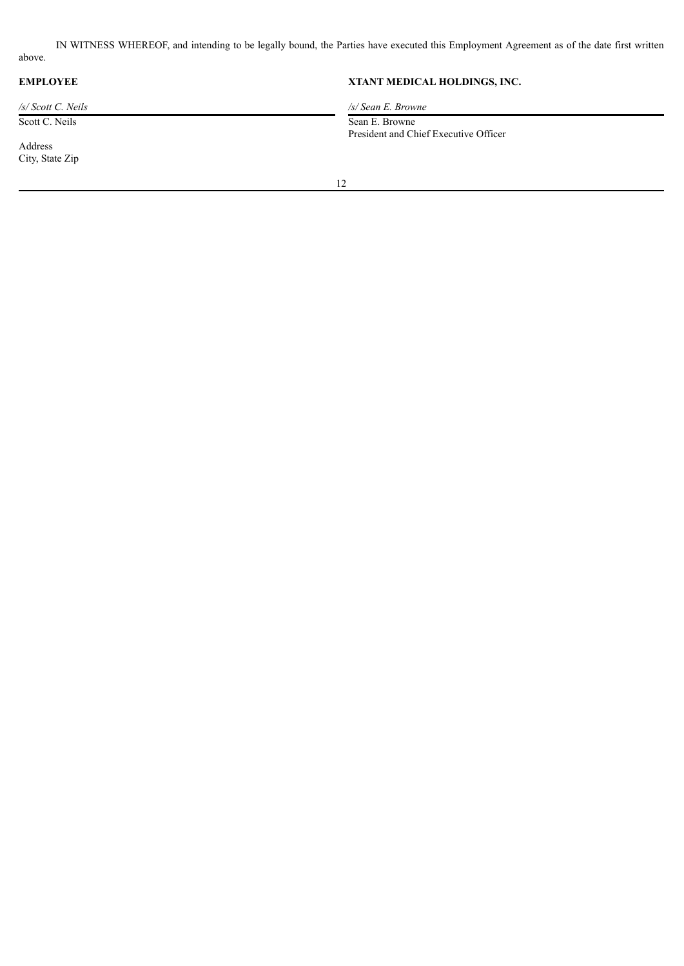IN WITNESS WHEREOF, and intending to be legally bound, the Parties have executed this Employment Agreement as of the date first written above.

Scott C. Neils Sean E. Browne

Address City, State Zip

# **EMPLOYEE XTANT MEDICAL HOLDINGS, INC.**

*/s/ Scott C. Neils /s/ Sean E. Browne*

President and Chief Executive Officer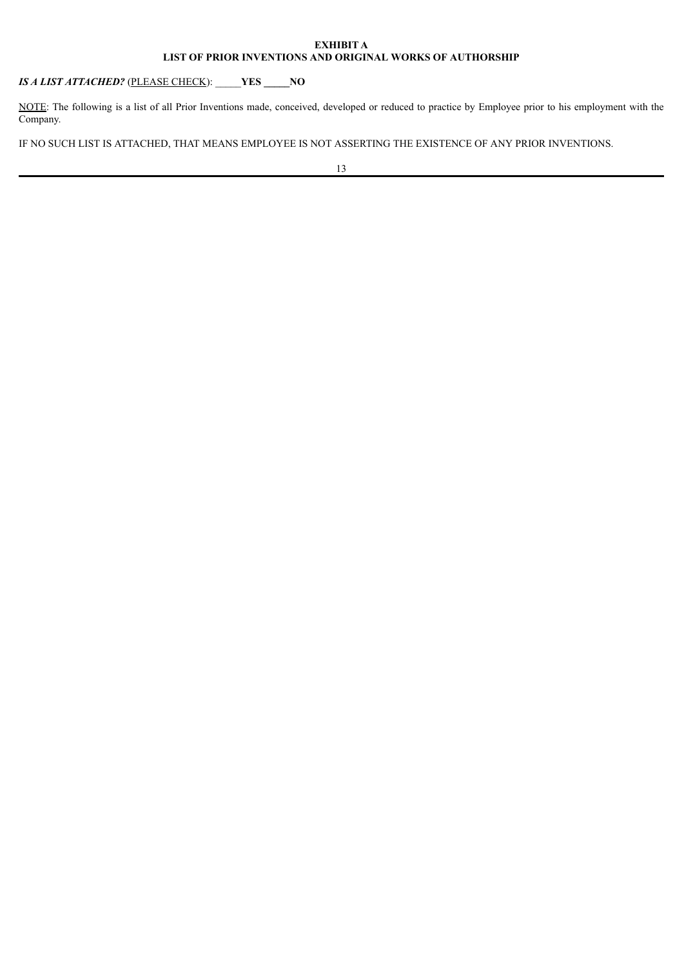### **EXHIBIT A LIST OF PRIOR INVENTIONS AND ORIGINAL WORKS OF AUTHORSHIP**

*IS A LIST ATTACHED?* (PLEASE CHECK): \_\_\_\_\_**YES \_\_\_\_\_NO**

NOTE: The following is a list of all Prior Inventions made, conceived, developed or reduced to practice by Employee prior to his employment with the Company.

IF NO SUCH LIST IS ATTACHED, THAT MEANS EMPLOYEE IS NOT ASSERTING THE EXISTENCE OF ANY PRIOR INVENTIONS.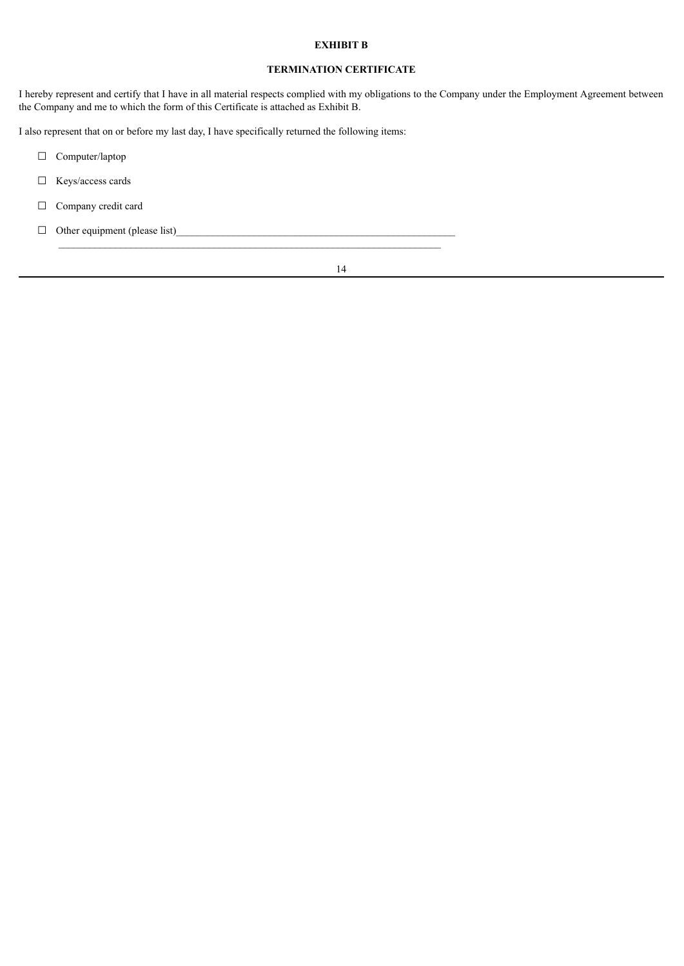### **EXHIBIT B**

### **TERMINATION CERTIFICATE**

I hereby represent and certify that I have in all material respects complied with my obligations to the Company under the Employment Agreement between the Company and me to which the form of this Certificate is attached as Exhibit B.

I also represent that on or before my last day, I have specifically returned the following items:

- ☐ Computer/laptop
- $\Box$  Keys/access cards
- □ Company credit card
- $\Box$  Other equipment (please list)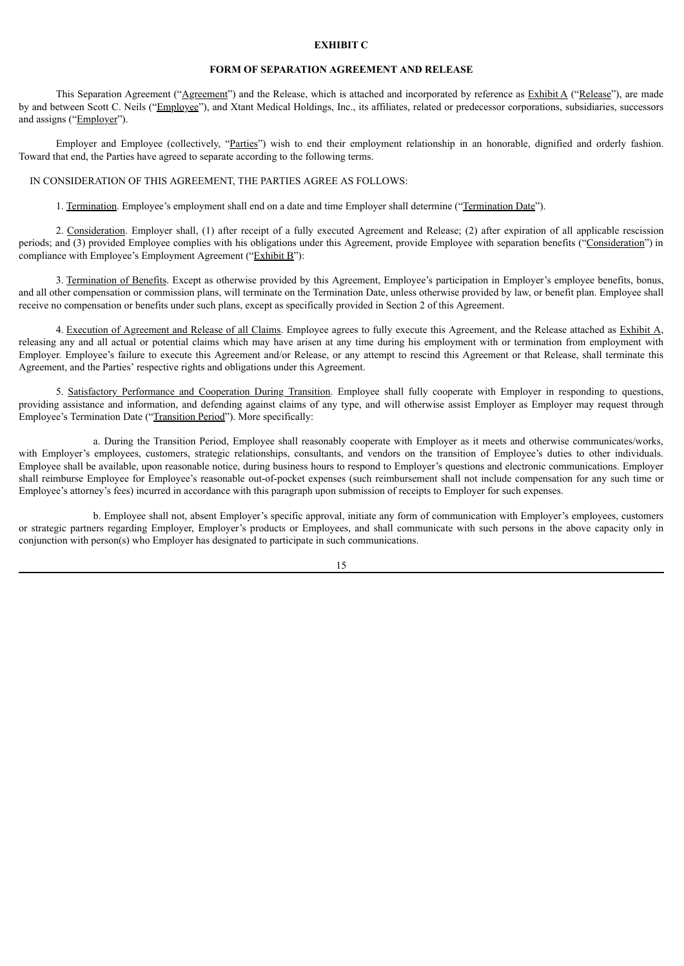#### **EXHIBIT C**

#### **FORM OF SEPARATION AGREEMENT AND RELEASE**

This Separation Agreement ("Agreement") and the Release, which is attached and incorporated by reference as Exhibit A ("Release"), are made by and between Scott C. Neils ("Employee"), and Xtant Medical Holdings, Inc., its affiliates, related or predecessor corporations, subsidiaries, successors and assigns ("Employer").

Employer and Employee (collectively, "Parties") wish to end their employment relationship in an honorable, dignified and orderly fashion. Toward that end, the Parties have agreed to separate according to the following terms.

#### IN CONSIDERATION OF THIS AGREEMENT, THE PARTIES AGREE AS FOLLOWS:

1. Termination. Employee's employment shall end on a date and time Employer shall determine ("Termination Date").

2. Consideration. Employer shall, (1) after receipt of a fully executed Agreement and Release; (2) after expiration of all applicable rescission periods; and (3) provided Employee complies with his obligations under this Agreement, provide Employee with separation benefits ("Consideration") in compliance with Employee's Employment Agreement ("Exhibit B"):

3. Termination of Benefits. Except as otherwise provided by this Agreement, Employee's participation in Employer's employee benefits, bonus, and all other compensation or commission plans, will terminate on the Termination Date, unless otherwise provided by law, or benefit plan. Employee shall receive no compensation or benefits under such plans, except as specifically provided in Section 2 of this Agreement.

4. Execution of Agreement and Release of all Claims. Employee agrees to fully execute this Agreement, and the Release attached as Exhibit A, releasing any and all actual or potential claims which may have arisen at any time during his employment with or termination from employment with Employer. Employee's failure to execute this Agreement and/or Release, or any attempt to rescind this Agreement or that Release, shall terminate this Agreement, and the Parties' respective rights and obligations under this Agreement.

5. Satisfactory Performance and Cooperation During Transition. Employee shall fully cooperate with Employer in responding to questions, providing assistance and information, and defending against claims of any type, and will otherwise assist Employer as Employer may request through Employee's Termination Date ("Transition Period"). More specifically:

a. During the Transition Period, Employee shall reasonably cooperate with Employer as it meets and otherwise communicates/works, with Employer's employees, customers, strategic relationships, consultants, and vendors on the transition of Employee's duties to other individuals. Employee shall be available, upon reasonable notice, during business hours to respond to Employer's questions and electronic communications. Employer shall reimburse Employee for Employee's reasonable out-of-pocket expenses (such reimbursement shall not include compensation for any such time or Employee's attorney's fees) incurred in accordance with this paragraph upon submission of receipts to Employer for such expenses.

b. Employee shall not, absent Employer's specific approval, initiate any form of communication with Employer's employees, customers or strategic partners regarding Employer, Employer's products or Employees, and shall communicate with such persons in the above capacity only in conjunction with person(s) who Employer has designated to participate in such communications.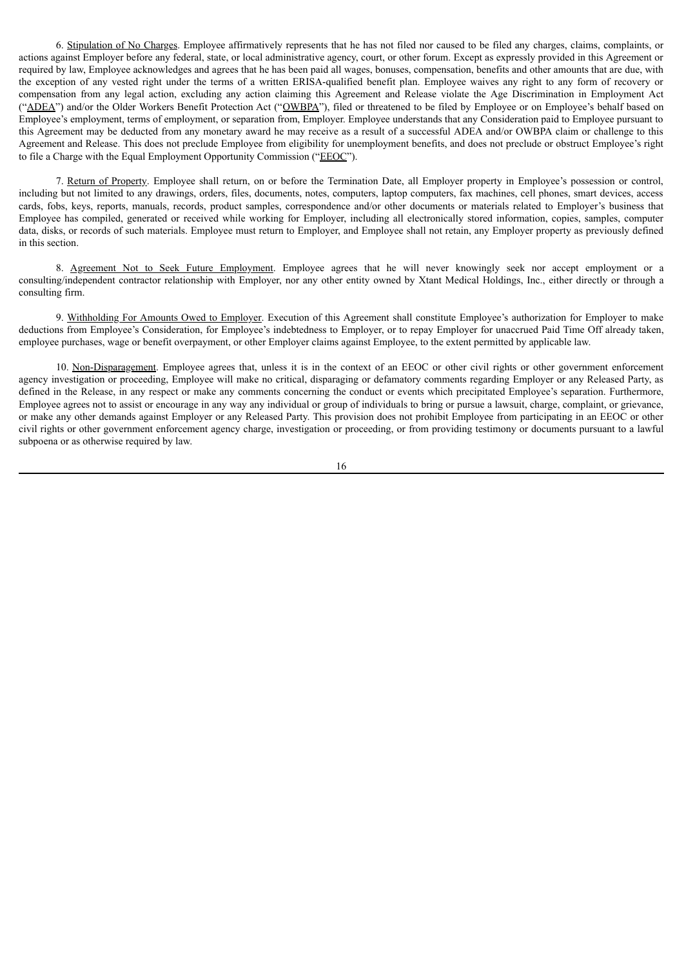6. Stipulation of No Charges. Employee affirmatively represents that he has not filed nor caused to be filed any charges, claims, complaints, or actions against Employer before any federal, state, or local administrative agency, court, or other forum. Except as expressly provided in this Agreement or required by law, Employee acknowledges and agrees that he has been paid all wages, bonuses, compensation, benefits and other amounts that are due, with the exception of any vested right under the terms of a written ERISA-qualified benefit plan. Employee waives any right to any form of recovery or compensation from any legal action, excluding any action claiming this Agreement and Release violate the Age Discrimination in Employment Act ("ADEA") and/or the Older Workers Benefit Protection Act ("OWBPA"), filed or threatened to be filed by Employee or on Employee's behalf based on Employee's employment, terms of employment, or separation from, Employer. Employee understands that any Consideration paid to Employee pursuant to this Agreement may be deducted from any monetary award he may receive as a result of a successful ADEA and/or OWBPA claim or challenge to this Agreement and Release. This does not preclude Employee from eligibility for unemployment benefits, and does not preclude or obstruct Employee's right to file a Charge with the Equal Employment Opportunity Commission ("EEOC").

7. Return of Property. Employee shall return, on or before the Termination Date, all Employer property in Employee's possession or control, including but not limited to any drawings, orders, files, documents, notes, computers, laptop computers, fax machines, cell phones, smart devices, access cards, fobs, keys, reports, manuals, records, product samples, correspondence and/or other documents or materials related to Employer's business that Employee has compiled, generated or received while working for Employer, including all electronically stored information, copies, samples, computer data, disks, or records of such materials. Employee must return to Employer, and Employee shall not retain, any Employer property as previously defined in this section.

8. Agreement Not to Seek Future Employment. Employee agrees that he will never knowingly seek nor accept employment or a consulting/independent contractor relationship with Employer, nor any other entity owned by Xtant Medical Holdings, Inc., either directly or through a consulting firm.

9. Withholding For Amounts Owed to Employer. Execution of this Agreement shall constitute Employee's authorization for Employer to make deductions from Employee's Consideration, for Employee's indebtedness to Employer, or to repay Employer for unaccrued Paid Time Off already taken, employee purchases, wage or benefit overpayment, or other Employer claims against Employee, to the extent permitted by applicable law.

10. Non-Disparagement. Employee agrees that, unless it is in the context of an EEOC or other civil rights or other government enforcement agency investigation or proceeding, Employee will make no critical, disparaging or defamatory comments regarding Employer or any Released Party, as defined in the Release, in any respect or make any comments concerning the conduct or events which precipitated Employee's separation. Furthermore, Employee agrees not to assist or encourage in any way any individual or group of individuals to bring or pursue a lawsuit, charge, complaint, or grievance, or make any other demands against Employer or any Released Party. This provision does not prohibit Employee from participating in an EEOC or other civil rights or other government enforcement agency charge, investigation or proceeding, or from providing testimony or documents pursuant to a lawful subpoena or as otherwise required by law.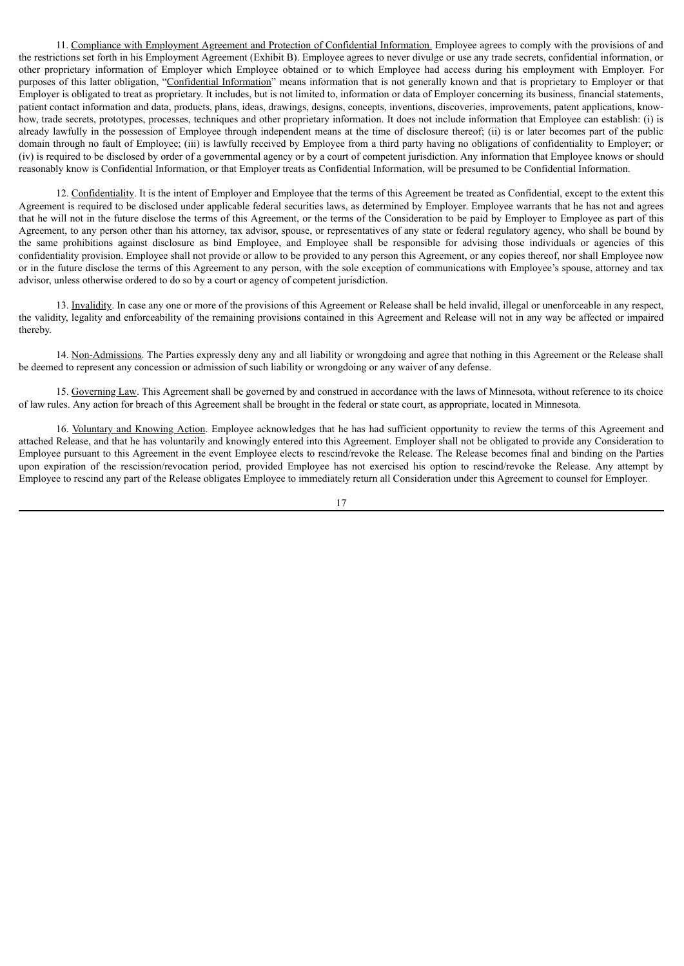11. Compliance with Employment Agreement and Protection of Confidential Information. Employee agrees to comply with the provisions of and the restrictions set forth in his Employment Agreement (Exhibit B). Employee agrees to never divulge or use any trade secrets, confidential information, or other proprietary information of Employer which Employee obtained or to which Employee had access during his employment with Employer. For purposes of this latter obligation, "Confidential Information" means information that is not generally known and that is proprietary to Employer or that Employer is obligated to treat as proprietary. It includes, but is not limited to, information or data of Employer concerning its business, financial statements, patient contact information and data, products, plans, ideas, drawings, designs, concepts, inventions, discoveries, improvements, patent applications, knowhow, trade secrets, prototypes, processes, techniques and other proprietary information. It does not include information that Employee can establish: (i) is already lawfully in the possession of Employee through independent means at the time of disclosure thereof; (ii) is or later becomes part of the public domain through no fault of Employee; (iii) is lawfully received by Employee from a third party having no obligations of confidentiality to Employer; or (iv) is required to be disclosed by order of a governmental agency or by a court of competent jurisdiction. Any information that Employee knows or should reasonably know is Confidential Information, or that Employer treats as Confidential Information, will be presumed to be Confidential Information.

12. Confidentiality. It is the intent of Employer and Employee that the terms of this Agreement be treated as Confidential, except to the extent this Agreement is required to be disclosed under applicable federal securities laws, as determined by Employer. Employee warrants that he has not and agrees that he will not in the future disclose the terms of this Agreement, or the terms of the Consideration to be paid by Employer to Employee as part of this Agreement, to any person other than his attorney, tax advisor, spouse, or representatives of any state or federal regulatory agency, who shall be bound by the same prohibitions against disclosure as bind Employee, and Employee shall be responsible for advising those individuals or agencies of this confidentiality provision. Employee shall not provide or allow to be provided to any person this Agreement, or any copies thereof, nor shall Employee now or in the future disclose the terms of this Agreement to any person, with the sole exception of communications with Employee's spouse, attorney and tax advisor, unless otherwise ordered to do so by a court or agency of competent jurisdiction.

13. Invalidity. In case any one or more of the provisions of this Agreement or Release shall be held invalid, illegal or unenforceable in any respect, the validity, legality and enforceability of the remaining provisions contained in this Agreement and Release will not in any way be affected or impaired thereby.

14. Non-Admissions. The Parties expressly deny any and all liability or wrongdoing and agree that nothing in this Agreement or the Release shall be deemed to represent any concession or admission of such liability or wrongdoing or any waiver of any defense.

15. Governing Law. This Agreement shall be governed by and construed in accordance with the laws of Minnesota, without reference to its choice of law rules. Any action for breach of this Agreement shall be brought in the federal or state court, as appropriate, located in Minnesota.

16. Voluntary and Knowing Action. Employee acknowledges that he has had sufficient opportunity to review the terms of this Agreement and attached Release, and that he has voluntarily and knowingly entered into this Agreement. Employer shall not be obligated to provide any Consideration to Employee pursuant to this Agreement in the event Employee elects to rescind/revoke the Release. The Release becomes final and binding on the Parties upon expiration of the rescission/revocation period, provided Employee has not exercised his option to rescind/revoke the Release. Any attempt by Employee to rescind any part of the Release obligates Employee to immediately return all Consideration under this Agreement to counsel for Employer.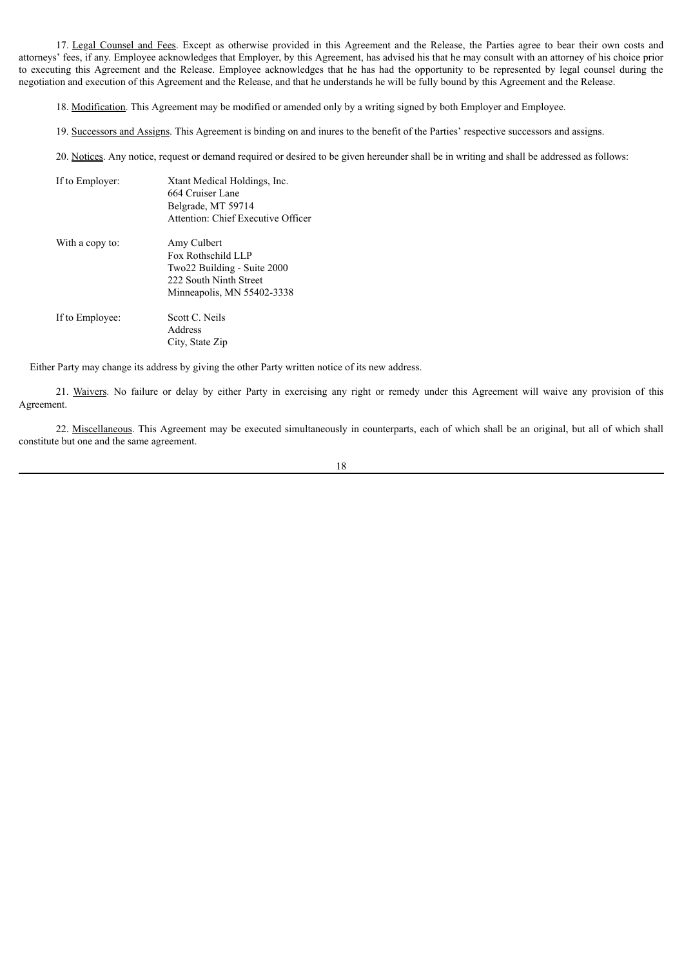17. Legal Counsel and Fees. Except as otherwise provided in this Agreement and the Release, the Parties agree to bear their own costs and attorneys' fees, if any. Employee acknowledges that Employer, by this Agreement, has advised his that he may consult with an attorney of his choice prior to executing this Agreement and the Release. Employee acknowledges that he has had the opportunity to be represented by legal counsel during the negotiation and execution of this Agreement and the Release, and that he understands he will be fully bound by this Agreement and the Release.

18. Modification. This Agreement may be modified or amended only by a writing signed by both Employer and Employee.

19. Successors and Assigns. This Agreement is binding on and inures to the benefit of the Parties' respective successors and assigns.

20. Notices. Any notice, request or demand required or desired to be given hereunder shall be in writing and shall be addressed as follows:

| If to Employer: | Xtant Medical Holdings, Inc.<br>664 Cruiser Lane<br>Belgrade, MT 59714<br>Attention: Chief Executive Officer             |
|-----------------|--------------------------------------------------------------------------------------------------------------------------|
| With a copy to: | Amy Culbert<br>Fox Rothschild LLP<br>Two22 Building - Suite 2000<br>222 South Ninth Street<br>Minneapolis, MN 55402-3338 |
| If to Employee: | Scott C. Neils<br>Address<br>City, State Zip                                                                             |

Either Party may change its address by giving the other Party written notice of its new address.

21. Waivers. No failure or delay by either Party in exercising any right or remedy under this Agreement will waive any provision of this Agreement.

22. Miscellaneous. This Agreement may be executed simultaneously in counterparts, each of which shall be an original, but all of which shall constitute but one and the same agreement.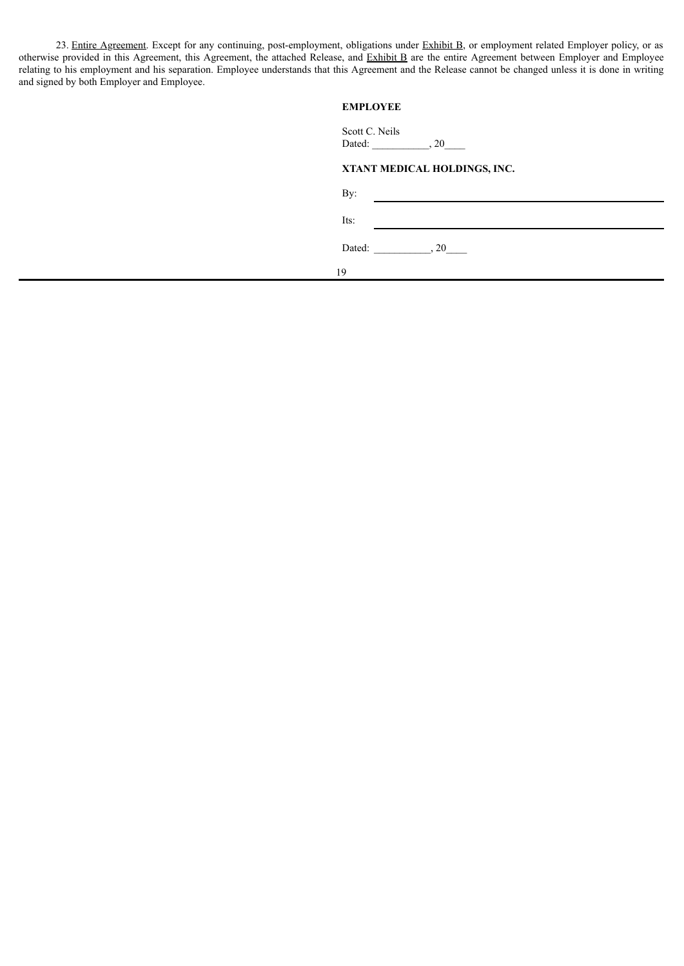23. Entire Agreement. Except for any continuing, post-employment, obligations under Exhibit B, or employment related Employer policy, or as otherwise provided in this Agreement, this Agreement, the attached Release, and Exhibit B are the entire Agreement between Employer and Employee relating to his employment and his separation. Employee understands that this Agreement and the Release cannot be changed unless it is done in writing and signed by both Employer and Employee.

## **EMPLOYEE**

| Scott C. Neils<br>Dated: |                              |  |
|--------------------------|------------------------------|--|
|                          | XTANT MEDICAL HOLDINGS, INC. |  |
| By:                      |                              |  |
| Its:                     |                              |  |

Dated: \_\_\_\_\_\_\_\_\_\_\_, 20\_\_\_\_\_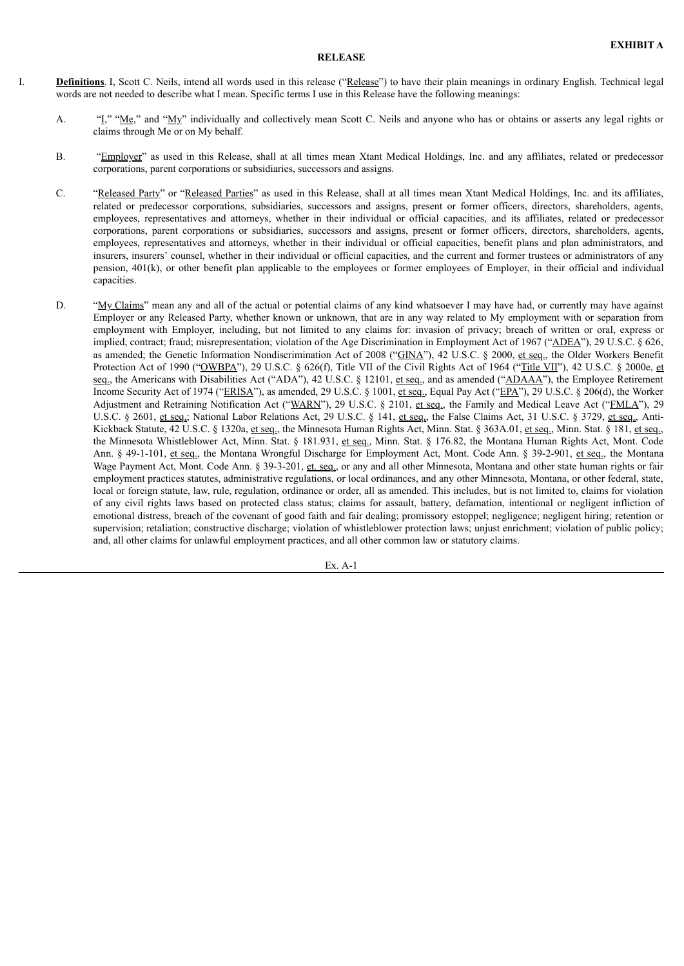#### **RELEASE**

I. **Definitions**. I, Scott C. Neils, intend all words used in this release ("Release") to have their plain meanings in ordinary English. Technical legal words are not needed to describe what I mean. Specific terms I use in this Release have the following meanings:

- A. "I," "Me," and "My" individually and collectively mean Scott C. Neils and anyone who has or obtains or asserts any legal rights or claims through Me or on My behalf.
- B. "Employer" as used in this Release, shall at all times mean Xtant Medical Holdings, Inc. and any affiliates, related or predecessor corporations, parent corporations or subsidiaries, successors and assigns.
- C. "Released Party" or "Released Parties" as used in this Release, shall at all times mean Xtant Medical Holdings, Inc. and its affiliates, related or predecessor corporations, subsidiaries, successors and assigns, present or former officers, directors, shareholders, agents, employees, representatives and attorneys, whether in their individual or official capacities, and its affiliates, related or predecessor corporations, parent corporations or subsidiaries, successors and assigns, present or former officers, directors, shareholders, agents, employees, representatives and attorneys, whether in their individual or official capacities, benefit plans and plan administrators, and insurers, insurers' counsel, whether in their individual or official capacities, and the current and former trustees or administrators of any pension, 401(k), or other benefit plan applicable to the employees or former employees of Employer, in their official and individual capacities.
- D. "My Claims" mean any and all of the actual or potential claims of any kind whatsoever I may have had, or currently may have against Employer or any Released Party, whether known or unknown, that are in any way related to My employment with or separation from employment with Employer, including, but not limited to any claims for: invasion of privacy; breach of written or oral, express or implied, contract; fraud; misrepresentation; violation of the Age Discrimination in Employment Act of 1967 ("ADEA"), 29 U.S.C. § 626, as amended; the Genetic Information Nondiscrimination Act of 2008 ("GINA"), 42 U.S.C. § 2000, et seq., the Older Workers Benefit Protection Act of 1990 ("OWBPA"), 29 U.S.C. § 626(f), Title VII of the Civil Rights Act of 1964 ("Title VII"), 42 U.S.C. § 2000e, et seq., the Americans with Disabilities Act ("ADA"), 42 U.S.C. § 12101, et seq., and as amended ("ADAAA"), the Employee Retirement Income Security Act of 1974 ("ERISA"), as amended, 29 U.S.C. § 1001, et seq., Equal Pay Act ("EPA"), 29 U.S.C. § 206(d), the Worker Adjustment and Retraining Notification Act ("WARN"), 29 U.S.C. § 2101, et seq., the Family and Medical Leave Act ("FMLA"), 29 U.S.C. § 2601, et seq.; National Labor Relations Act, 29 U.S.C. § 141, et seq., the False Claims Act, 31 U.S.C. § 3729, et seq., Anti-Kickback Statute, 42 U.S.C. § 1320a, et seq., the Minnesota Human Rights Act, Minn. Stat. § 363A.01, et seq., Minn. Stat. § 181, et seq., the Minnesota Whistleblower Act, Minn. Stat. § 181.931, et seq., Minn. Stat. § 176.82, the Montana Human Rights Act, Mont. Code Ann. § 49-1-101, et seq., the Montana Wrongful Discharge for Employment Act, Mont. Code Ann. § 39-2-901, et seq., the Montana Wage Payment Act, Mont. Code Ann. § 39-3-201, et. seq., or any and all other Minnesota, Montana and other state human rights or fair employment practices statutes, administrative regulations, or local ordinances, and any other Minnesota, Montana, or other federal, state, local or foreign statute, law, rule, regulation, ordinance or order, all as amended. This includes, but is not limited to, claims for violation of any civil rights laws based on protected class status; claims for assault, battery, defamation, intentional or negligent infliction of emotional distress, breach of the covenant of good faith and fair dealing; promissory estoppel; negligence; negligent hiring; retention or supervision; retaliation; constructive discharge; violation of whistleblower protection laws; unjust enrichment; violation of public policy; and, all other claims for unlawful employment practices, and all other common law or statutory claims.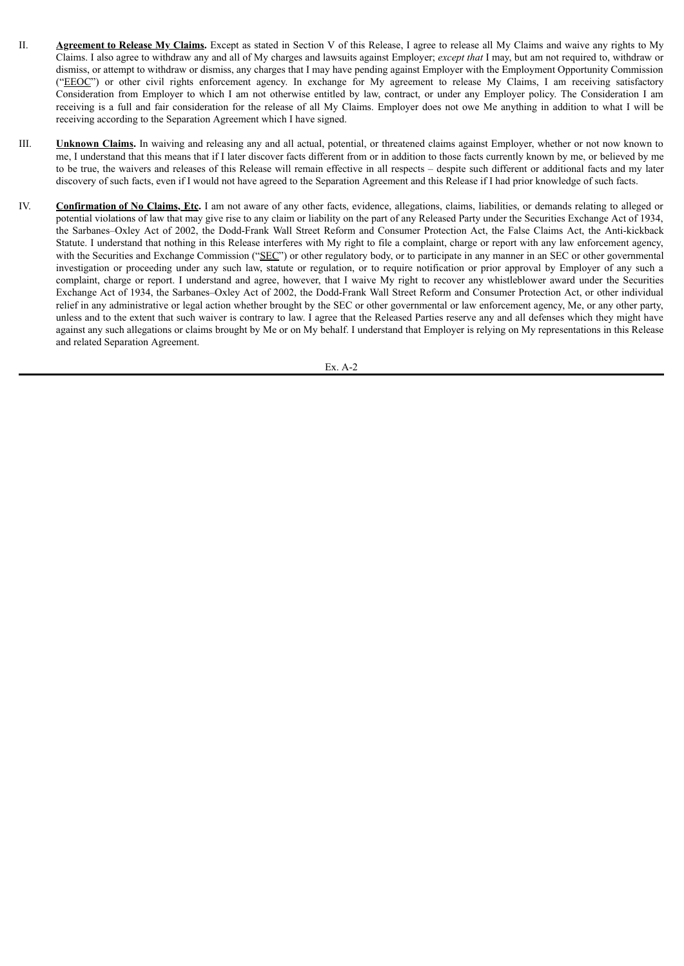- II. **Agreement to Release My Claims.** Except as stated in Section V of this Release, I agree to release all My Claims and waive any rights to My Claims. I also agree to withdraw any and all of My charges and lawsuits against Employer; *except that* I may, but am not required to, withdraw or dismiss, or attempt to withdraw or dismiss, any charges that I may have pending against Employer with the Employment Opportunity Commission ("EEOC") or other civil rights enforcement agency. In exchange for My agreement to release My Claims, I am receiving satisfactory Consideration from Employer to which I am not otherwise entitled by law, contract, or under any Employer policy. The Consideration I am receiving is a full and fair consideration for the release of all My Claims. Employer does not owe Me anything in addition to what I will be receiving according to the Separation Agreement which I have signed.
- III. **Unknown Claims.** In waiving and releasing any and all actual, potential, or threatened claims against Employer, whether or not now known to me, I understand that this means that if I later discover facts different from or in addition to those facts currently known by me, or believed by me to be true, the waivers and releases of this Release will remain effective in all respects – despite such different or additional facts and my later discovery of such facts, even if I would not have agreed to the Separation Agreement and this Release if I had prior knowledge of such facts.
- IV. **Confirmation of No Claims, Etc.** I am not aware of any other facts, evidence, allegations, claims, liabilities, or demands relating to alleged or potential violations of law that may give rise to any claim or liability on the part of any Released Party under the Securities Exchange Act of 1934, the Sarbanes–Oxley Act of 2002, the Dodd-Frank Wall Street Reform and Consumer Protection Act, the False Claims Act, the Anti-kickback Statute. I understand that nothing in this Release interferes with My right to file a complaint, charge or report with any law enforcement agency, with the Securities and Exchange Commission ("SEC") or other regulatory body, or to participate in any manner in an SEC or other governmental investigation or proceeding under any such law, statute or regulation, or to require notification or prior approval by Employer of any such a complaint, charge or report. I understand and agree, however, that I waive My right to recover any whistleblower award under the Securities Exchange Act of 1934, the Sarbanes–Oxley Act of 2002, the Dodd-Frank Wall Street Reform and Consumer Protection Act, or other individual relief in any administrative or legal action whether brought by the SEC or other governmental or law enforcement agency, Me, or any other party, unless and to the extent that such waiver is contrary to law. I agree that the Released Parties reserve any and all defenses which they might have against any such allegations or claims brought by Me or on My behalf. I understand that Employer is relying on My representations in this Release and related Separation Agreement.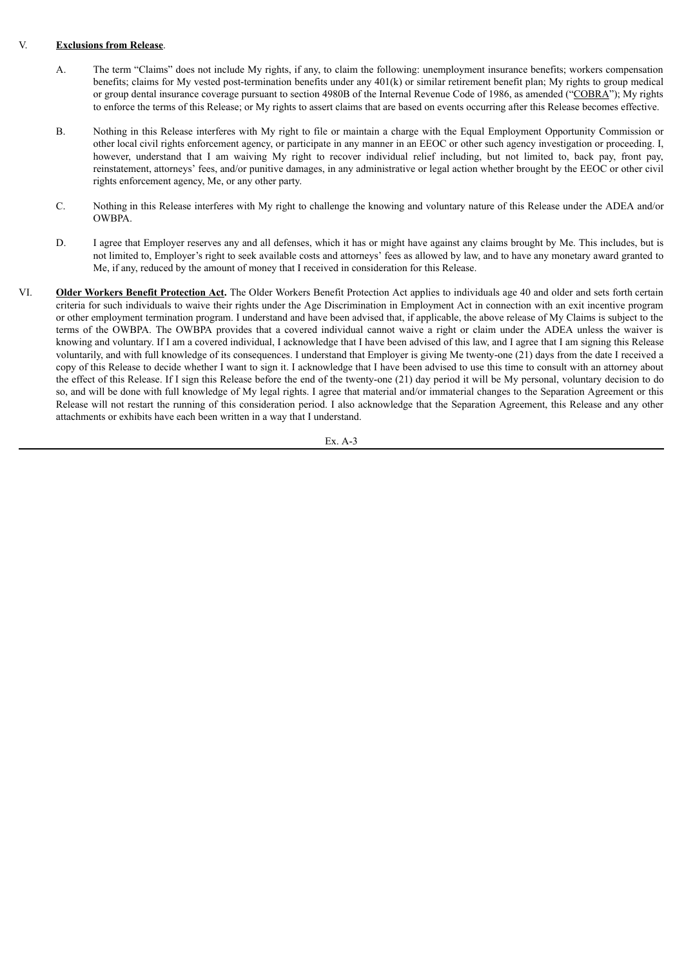### V. **Exclusions from Release**.

- A. The term "Claims" does not include My rights, if any, to claim the following: unemployment insurance benefits; workers compensation benefits; claims for My vested post-termination benefits under any 401(k) or similar retirement benefit plan; My rights to group medical or group dental insurance coverage pursuant to section 4980B of the Internal Revenue Code of 1986, as amended ("COBRA"); My rights to enforce the terms of this Release; or My rights to assert claims that are based on events occurring after this Release becomes effective.
- B. Nothing in this Release interferes with My right to file or maintain a charge with the Equal Employment Opportunity Commission or other local civil rights enforcement agency, or participate in any manner in an EEOC or other such agency investigation or proceeding. I, however, understand that I am waiving My right to recover individual relief including, but not limited to, back pay, front pay, reinstatement, attorneys' fees, and/or punitive damages, in any administrative or legal action whether brought by the EEOC or other civil rights enforcement agency, Me, or any other party.
- C. Nothing in this Release interferes with My right to challenge the knowing and voluntary nature of this Release under the ADEA and/or OWBPA.
- D. I agree that Employer reserves any and all defenses, which it has or might have against any claims brought by Me. This includes, but is not limited to, Employer's right to seek available costs and attorneys' fees as allowed by law, and to have any monetary award granted to Me, if any, reduced by the amount of money that I received in consideration for this Release.
- VI. **Older Workers Benefit Protection Act.** The Older Workers Benefit Protection Act applies to individuals age 40 and older and sets forth certain criteria for such individuals to waive their rights under the Age Discrimination in Employment Act in connection with an exit incentive program or other employment termination program. I understand and have been advised that, if applicable, the above release of My Claims is subject to the terms of the OWBPA. The OWBPA provides that a covered individual cannot waive a right or claim under the ADEA unless the waiver is knowing and voluntary. If I am a covered individual, I acknowledge that I have been advised of this law, and I agree that I am signing this Release voluntarily, and with full knowledge of its consequences. I understand that Employer is giving Me twenty-one (21) days from the date I received a copy of this Release to decide whether I want to sign it. I acknowledge that I have been advised to use this time to consult with an attorney about the effect of this Release. If I sign this Release before the end of the twenty-one (21) day period it will be My personal, voluntary decision to do so, and will be done with full knowledge of My legal rights. I agree that material and/or immaterial changes to the Separation Agreement or this Release will not restart the running of this consideration period. I also acknowledge that the Separation Agreement, this Release and any other attachments or exhibits have each been written in a way that I understand.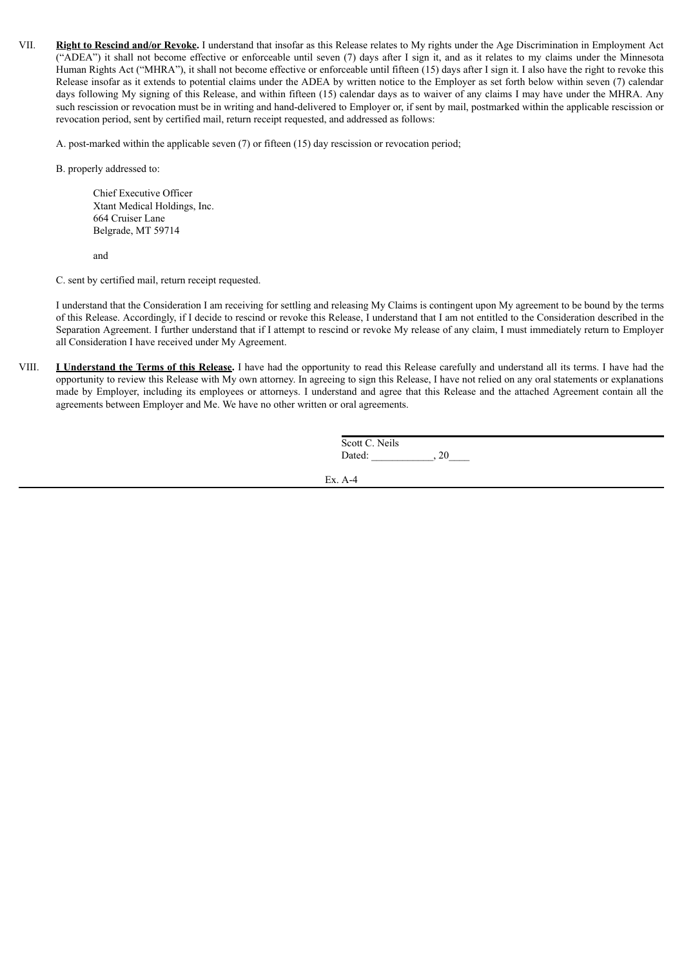VII. **Right to Rescind and/or Revoke.** I understand that insofar as this Release relates to My rights under the Age Discrimination in Employment Act ("ADEA") it shall not become effective or enforceable until seven (7) days after I sign it, and as it relates to my claims under the Minnesota Human Rights Act ("MHRA"), it shall not become effective or enforceable until fifteen (15) days after I sign it. I also have the right to revoke this Release insofar as it extends to potential claims under the ADEA by written notice to the Employer as set forth below within seven (7) calendar days following My signing of this Release, and within fifteen (15) calendar days as to waiver of any claims I may have under the MHRA. Any such rescission or revocation must be in writing and hand-delivered to Employer or, if sent by mail, postmarked within the applicable rescission or revocation period, sent by certified mail, return receipt requested, and addressed as follows:

A. post-marked within the applicable seven (7) or fifteen (15) day rescission or revocation period;

B. properly addressed to:

Chief Executive Officer Xtant Medical Holdings, Inc. 664 Cruiser Lane Belgrade, MT 59714

and

C. sent by certified mail, return receipt requested.

I understand that the Consideration I am receiving for settling and releasing My Claims is contingent upon My agreement to be bound by the terms of this Release. Accordingly, if I decide to rescind or revoke this Release, I understand that I am not entitled to the Consideration described in the Separation Agreement. I further understand that if I attempt to rescind or revoke My release of any claim, I must immediately return to Employer all Consideration I have received under My Agreement.

VIII. **I Understand the Terms of this Release.** I have had the opportunity to read this Release carefully and understand all its terms. I have had the opportunity to review this Release with My own attorney. In agreeing to sign this Release, I have not relied on any oral statements or explanations made by Employer, including its employees or attorneys. I understand and agree that this Release and the attached Agreement contain all the agreements between Employer and Me. We have no other written or oral agreements.

| Scott C. Neils |  |
|----------------|--|
| Dated:         |  |